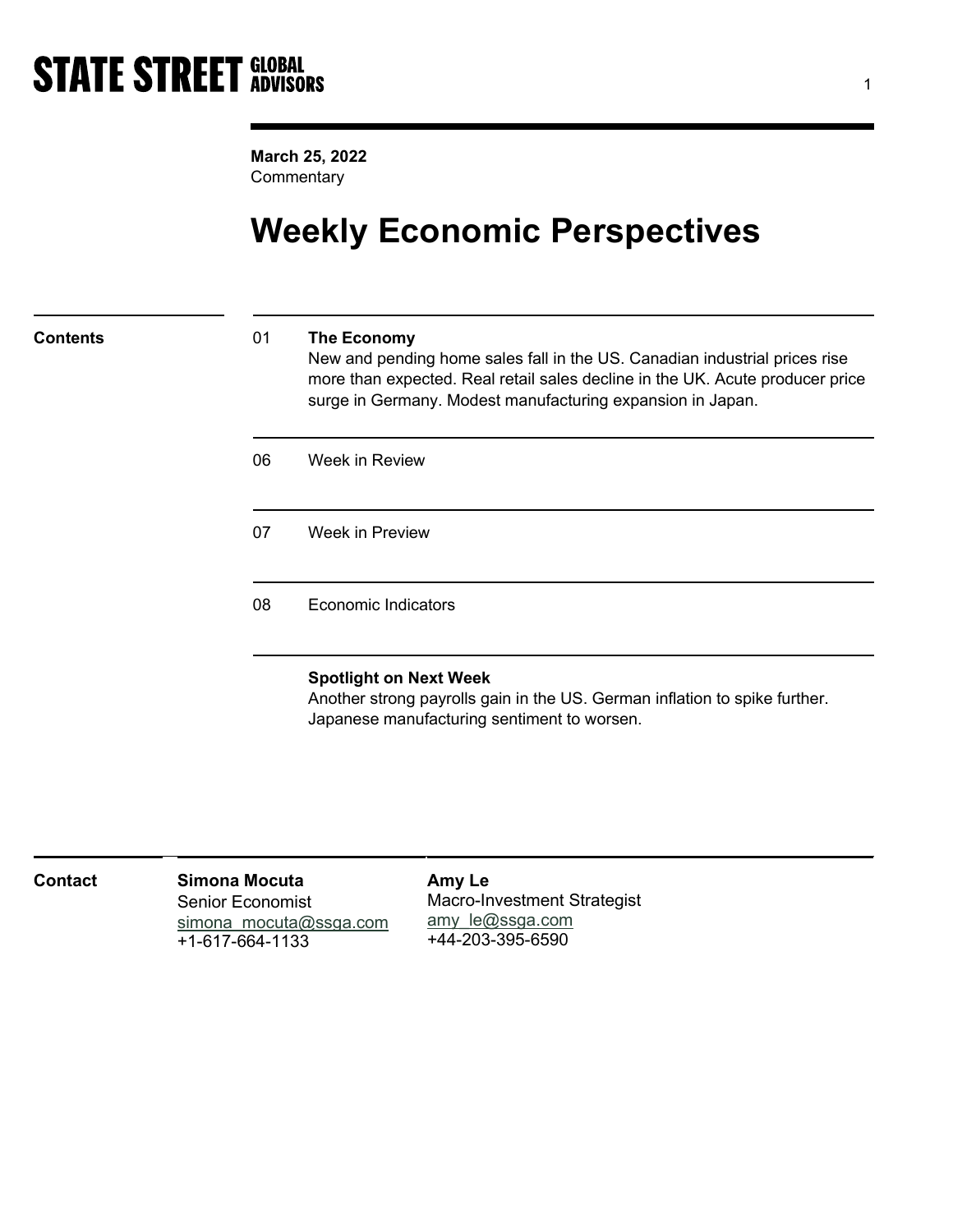March 25, 2022 **Commentary** 

## Weekly Economic Perspectives

### 01 The Economy

New and pending home sales fall in the US. Canadian industrial prices rise more than expected. Real retail sales decline in the UK. Acute producer price surge in Germany. Modest manufacturing expansion in Japan.

| 06 | Week in Review             |  |
|----|----------------------------|--|
| 07 | Week in Preview            |  |
| 08 | <b>Economic Indicators</b> |  |

### Spotlight on Next Week

Another strong payrolls gain in the US. German inflation to spike further. Japanese manufacturing sentiment to worsen.

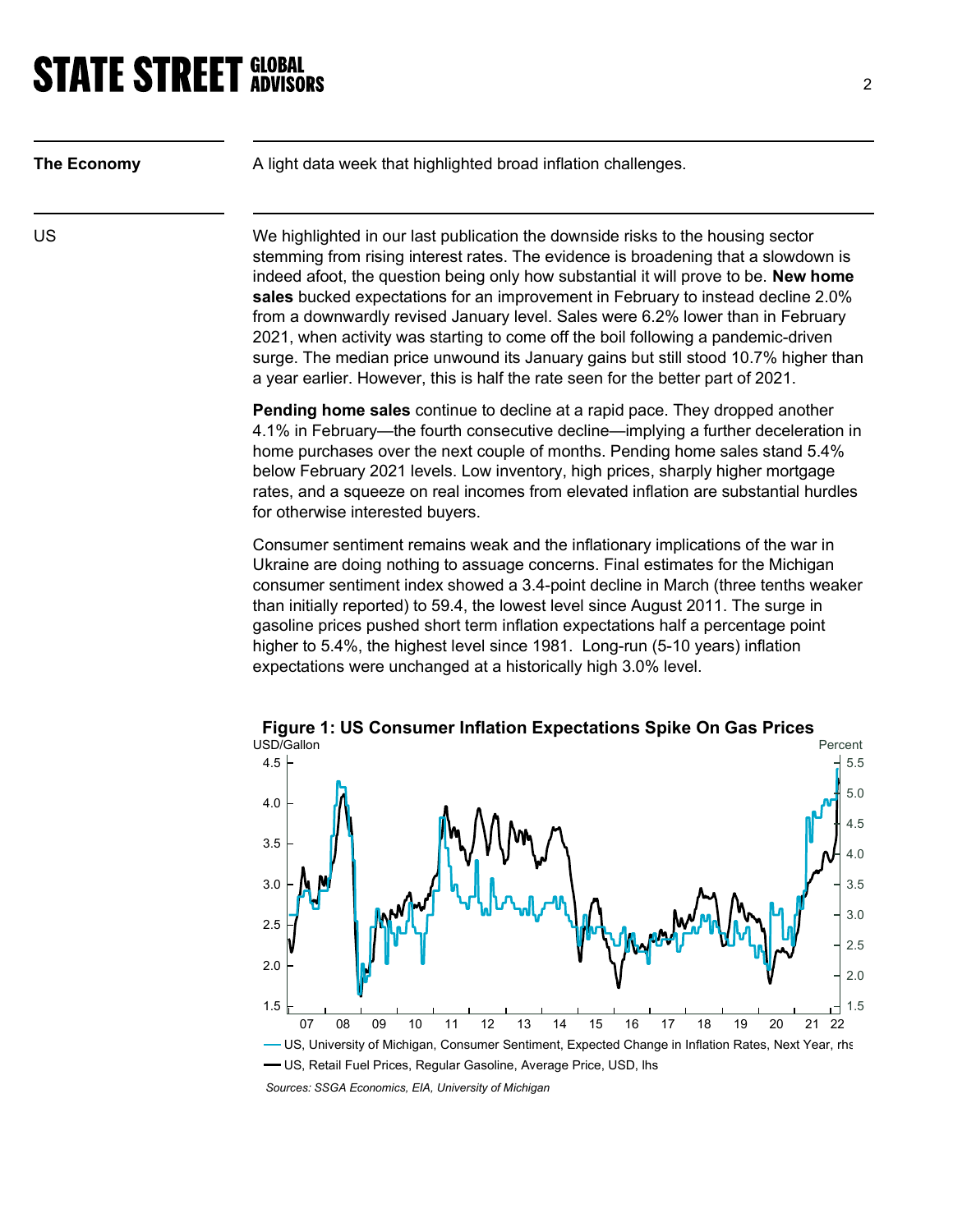| The Economy | A light data week that highlighted broad inflation challenges.                                                                                                                                                                                                                                                                                                                                                                                                                                                                                                                                                                                                                                      |
|-------------|-----------------------------------------------------------------------------------------------------------------------------------------------------------------------------------------------------------------------------------------------------------------------------------------------------------------------------------------------------------------------------------------------------------------------------------------------------------------------------------------------------------------------------------------------------------------------------------------------------------------------------------------------------------------------------------------------------|
| US          | We highlighted in our last publication the downside risks to the housing sector<br>stemming from rising interest rates. The evidence is broadening that a slowdown is<br>indeed afoot, the question being only how substantial it will prove to be. New home<br>sales bucked expectations for an improvement in February to instead decline 2.0%<br>from a downwardly revised January level. Sales were 6.2% lower than in February<br>2021, when activity was starting to come off the boil following a pandemic-driven<br>surge. The median price unwound its January gains but still stood 10.7% higher than<br>a year earlier. However, this is half the rate seen for the better part of 2021. |
|             | Pending home sales continue to decline at a rapid pace. They dropped another<br>4.1% in February—the fourth consecutive decline—implying a further deceleration in<br>home purchases over the next couple of months. Pending home sales stand 5.4%<br>below February 2021 levels. Low inventory, high prices, sharply higher mortgage<br>rates, and a squeeze on real incomes from elevated inflation are substantial hurdles<br>for otherwise interested buyers.                                                                                                                                                                                                                                   |
|             | Consumer sentiment remains weak and the inflationary implications of the war in<br>Ukraine are doing nothing to assuage concerns. Final estimates for the Michigan<br>consumer sentiment index showed a 3.4-point decline in March (three tenths weaker<br>than initially reported) to 59.4, the lowest level since August 2011. The surge in<br>gasoline prices pushed short term inflation expectations half a percentage point<br>higher to 5.4%, the highest level since 1981. Long-run (5-10 years) inflation<br>expectations were unchanged at a historically high 3.0% level.                                                                                                                |



Sources: SSGA Economics, EIA, University of Michigan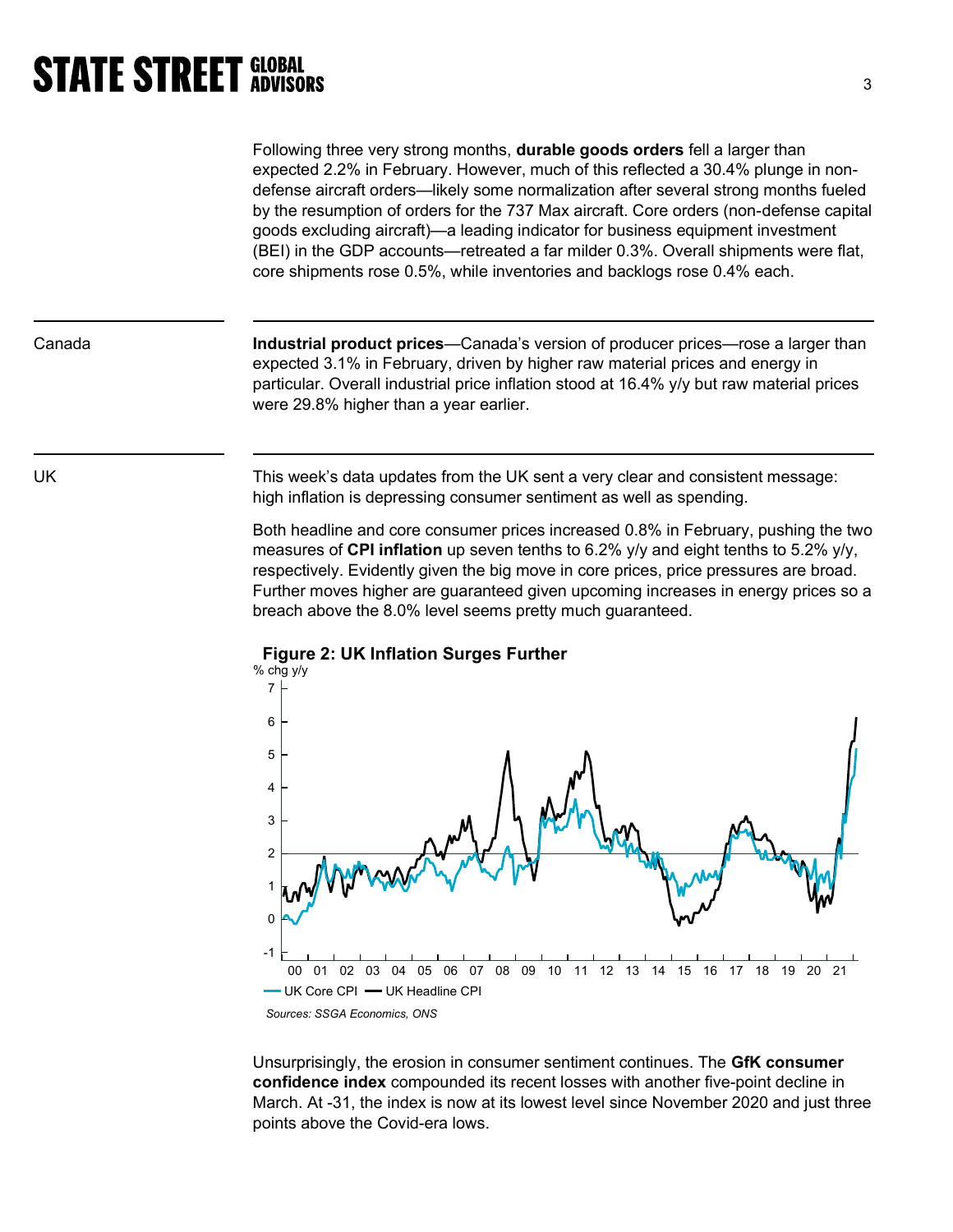Following three very strong months, durable goods orders fell a larger than expected 2.2% in February. However, much of this reflected a 30.4% plunge in nondefense aircraft orders—likely some normalization after several strong months fueled by the resumption of orders for the 737 Max aircraft. Core orders (non-defense capital goods excluding aircraft)—a leading indicator for business equipment investment (BEI) in the GDP accounts—retreated a far milder 0.3%. Overall shipments were flat, core shipments rose 0.5%, while inventories and backlogs rose 0.4% each.

Canada **Industrial product prices—Canada's version of producer prices—rose a larger than** expected 3.1% in February, driven by higher raw material prices and energy in particular. Overall industrial price inflation stood at 16.4% y/y but raw material prices were 29.8% higher than a year earlier.

UK This week's data updates from the UK sent a very clear and consistent message: high inflation is depressing consumer sentiment as well as spending.

> Both headline and core consumer prices increased 0.8% in February, pushing the two measures of **CPI inflation** up seven tenths to 6.2%  $v/v$  and eight tenths to 5.2%  $v/v$ . respectively. Evidently given the big move in core prices, price pressures are broad. Further moves higher are guaranteed given upcoming increases in energy prices so a breach above the 8.0% level seems pretty much guaranteed.



Figure 2: UK Inflation Surges Further

Unsurprisingly, the erosion in consumer sentiment continues. The GfK consumer confidence index compounded its recent losses with another five-point decline in March. At -31, the index is now at its lowest level since November 2020 and just three points above the Covid-era lows.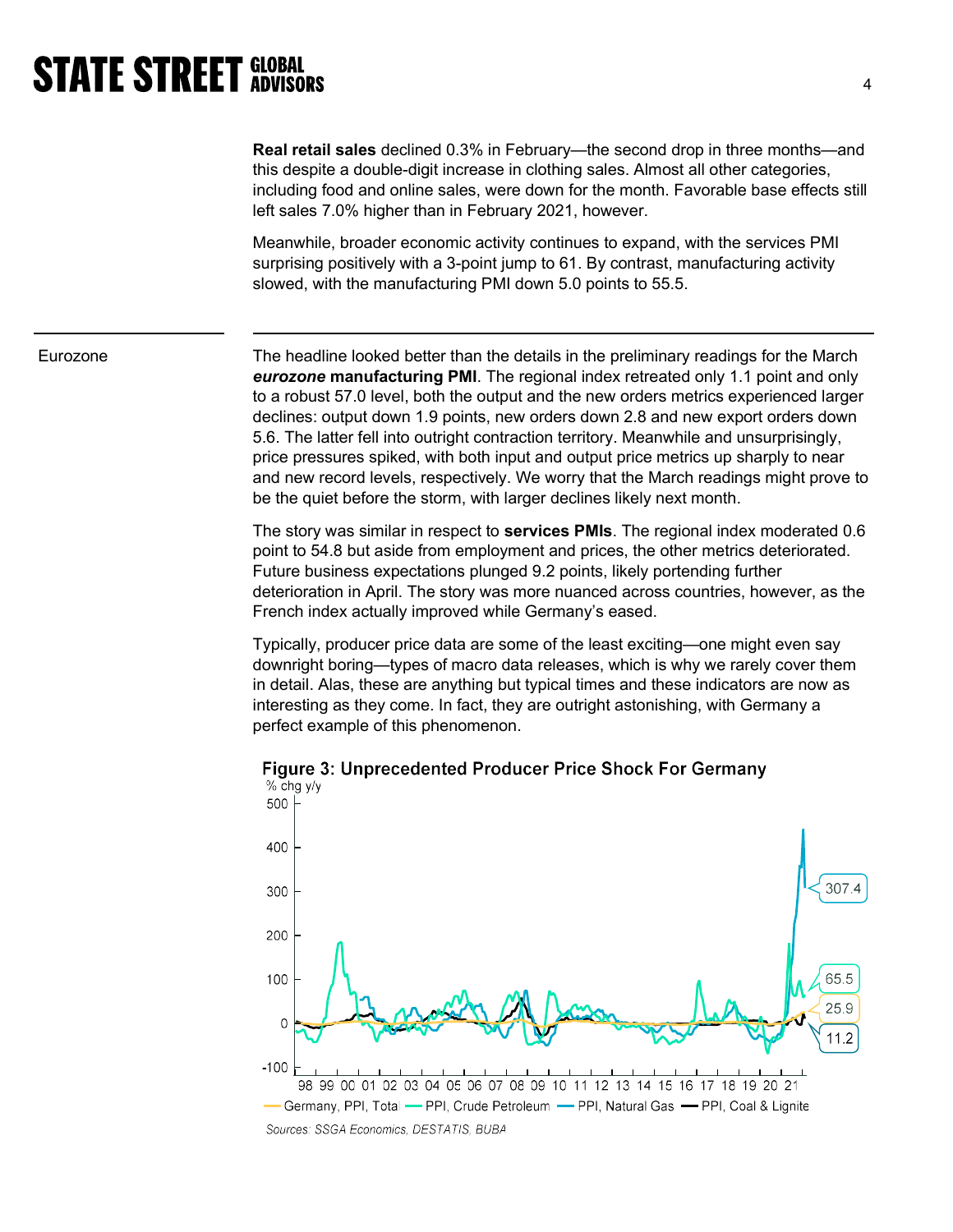Real retail sales declined 0.3% in February—the second drop in three months—and this despite a double-digit increase in clothing sales. Almost all other categories, including food and online sales, were down for the month. Favorable base effects still left sales 7.0% higher than in February 2021, however.

Meanwhile, broader economic activity continues to expand, with the services PMI surprising positively with a 3-point jump to 61. By contrast, manufacturing activity slowed, with the manufacturing PMI down 5.0 points to 55.5.

 Eurozone The headline looked better than the details in the preliminary readings for the March eurozone manufacturing PMI. The regional index retreated only 1.1 point and only to a robust 57.0 level, both the output and the new orders metrics experienced larger declines: output down 1.9 points, new orders down 2.8 and new export orders down 5.6. The latter fell into outright contraction territory. Meanwhile and unsurprisingly, price pressures spiked, with both input and output price metrics up sharply to near and new record levels, respectively. We worry that the March readings might prove to be the quiet before the storm, with larger declines likely next month.

> The story was similar in respect to **services PMIs**. The regional index moderated 0.6 point to 54.8 but aside from employment and prices, the other metrics deteriorated. Future business expectations plunged 9.2 points, likely portending further deterioration in April. The story was more nuanced across countries, however, as the French index actually improved while Germany's eased.

Typically, producer price data are some of the least exciting—one might even say downright boring—types of macro data releases, which is why we rarely cover them in detail. Alas, these are anything but typical times and these indicators are now as interesting as they come. In fact, they are outright astonishing, with Germany a perfect example of this phenomenon.



Figure 3: Unprecedented Producer Price Shock For Germany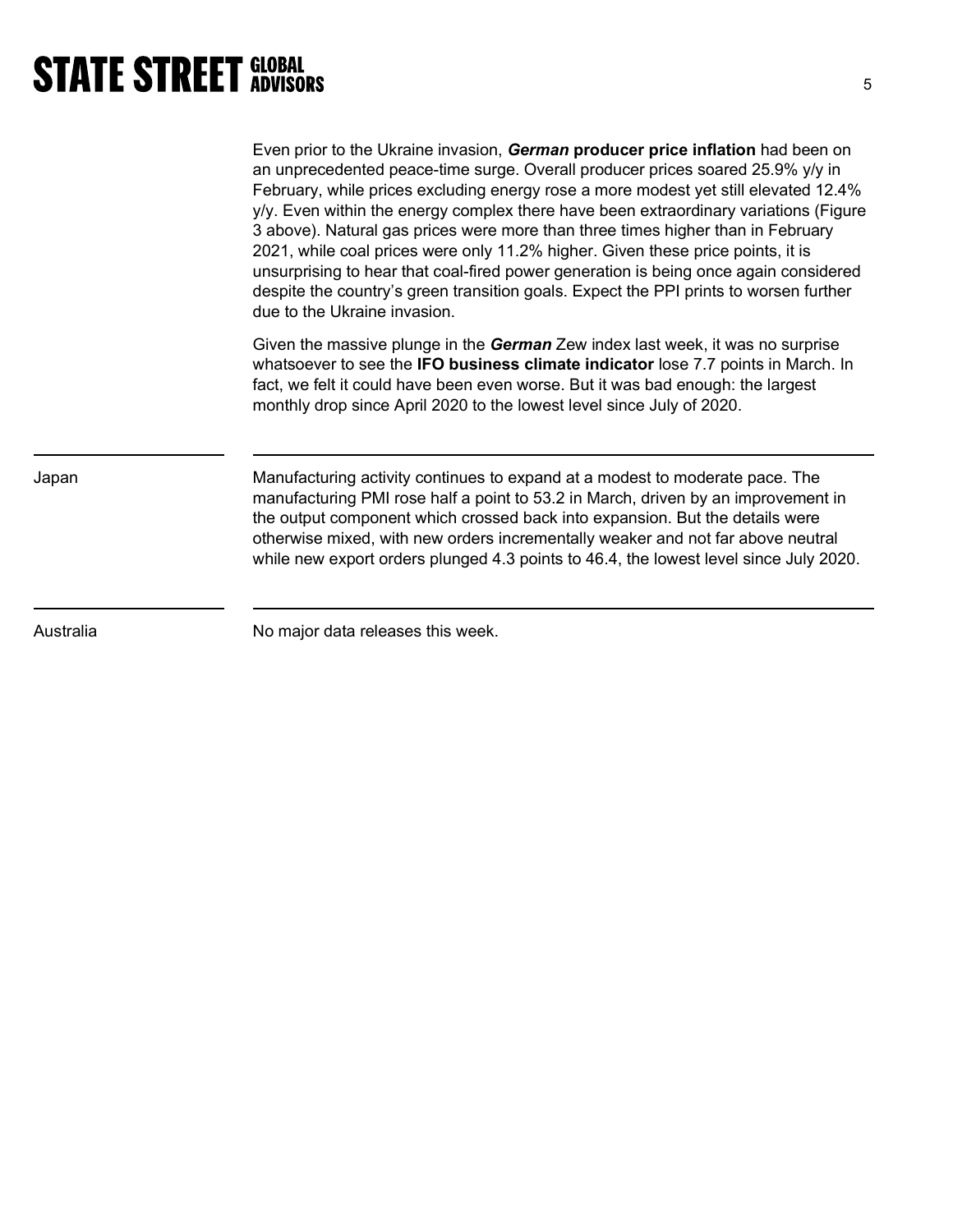|           | Even prior to the Ukraine invasion, German producer price inflation had been on<br>an unprecedented peace-time surge. Overall producer prices soared 25.9% y/y in<br>February, while prices excluding energy rose a more modest yet still elevated 12.4%<br>y/y. Even within the energy complex there have been extraordinary variations (Figure<br>3 above). Natural gas prices were more than three times higher than in February<br>2021, while coal prices were only 11.2% higher. Given these price points, it is<br>unsurprising to hear that coal-fired power generation is being once again considered<br>despite the country's green transition goals. Expect the PPI prints to worsen further<br>due to the Ukraine invasion. |
|-----------|-----------------------------------------------------------------------------------------------------------------------------------------------------------------------------------------------------------------------------------------------------------------------------------------------------------------------------------------------------------------------------------------------------------------------------------------------------------------------------------------------------------------------------------------------------------------------------------------------------------------------------------------------------------------------------------------------------------------------------------------|
|           | Given the massive plunge in the German Zew index last week, it was no surprise<br>whatsoever to see the <b>IFO business climate indicator</b> lose 7.7 points in March. In<br>fact, we felt it could have been even worse. But it was bad enough: the largest<br>monthly drop since April 2020 to the lowest level since July of 2020.                                                                                                                                                                                                                                                                                                                                                                                                  |
| Japan     | Manufacturing activity continues to expand at a modest to moderate pace. The<br>manufacturing PMI rose half a point to 53.2 in March, driven by an improvement in<br>the output component which crossed back into expansion. But the details were<br>otherwise mixed, with new orders incrementally weaker and not far above neutral<br>while new export orders plunged 4.3 points to 46.4, the lowest level since July 2020.                                                                                                                                                                                                                                                                                                           |
| Australia | No major data releases this week.                                                                                                                                                                                                                                                                                                                                                                                                                                                                                                                                                                                                                                                                                                       |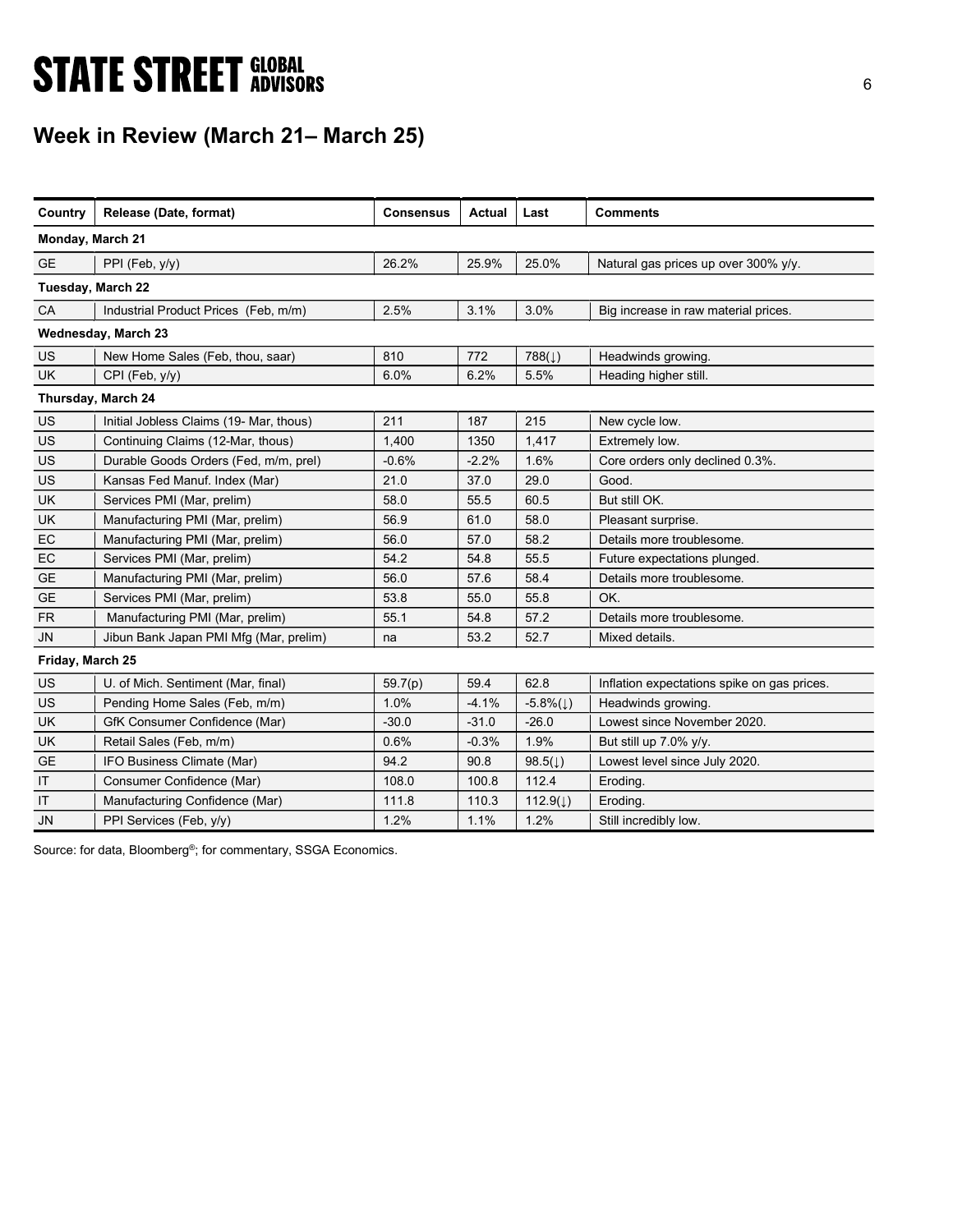# **STATE STREET GLOBAL STATE STREET GLOBAL**

## Week in Review (March 21– March 25)

| Country          | Release (Date, format)                  | <b>Consensus</b> | <b>Actual</b> | Last                  | <b>Comments</b>                             |
|------------------|-----------------------------------------|------------------|---------------|-----------------------|---------------------------------------------|
| Monday, March 21 |                                         |                  |               |                       |                                             |
| <b>GE</b>        | PPI (Feb, y/y)                          | 26.2%            | 25.9%         | 25.0%                 | Natural gas prices up over 300% y/y.        |
|                  | Tuesday, March 22                       |                  |               |                       |                                             |
| CA               | Industrial Product Prices (Feb, m/m)    | 2.5%             | 3.1%          | 3.0%                  | Big increase in raw material prices.        |
|                  | Wednesday, March 23                     |                  |               |                       |                                             |
| <b>US</b>        | New Home Sales (Feb, thou, saar)        | 810              | 772           | $788(\downarrow)$     | Headwinds growing.                          |
| <b>UK</b>        | CPI (Feb, y/y)                          | 6.0%             | 6.2%          | 5.5%                  | Heading higher still.                       |
|                  | Thursday, March 24                      |                  |               |                       |                                             |
| US               | Initial Jobless Claims (19- Mar, thous) | 211              | 187           | 215                   | New cycle low.                              |
| US               | Continuing Claims (12-Mar, thous)       | 1,400            | 1350          | 1,417                 | Extremely low.                              |
| <b>US</b>        | Durable Goods Orders (Fed, m/m, prel)   | $-0.6%$          | $-2.2%$       | 1.6%                  | Core orders only declined 0.3%.             |
| <b>US</b>        | Kansas Fed Manuf. Index (Mar)           | 21.0             | 37.0          | 29.0                  | Good.                                       |
| UK               | Services PMI (Mar, prelim)              | 58.0             | 55.5          | 60.5                  | But still OK.                               |
| UK               | Manufacturing PMI (Mar, prelim)         | 56.9             | 61.0          | 58.0                  | Pleasant surprise.                          |
| EC               | Manufacturing PMI (Mar, prelim)         | 56.0             | 57.0          | 58.2                  | Details more troublesome.                   |
| EC               | Services PMI (Mar, prelim)              | 54.2             | 54.8          | 55.5                  | Future expectations plunged.                |
| <b>GE</b>        | Manufacturing PMI (Mar, prelim)         | 56.0             | 57.6          | 58.4                  | Details more troublesome.                   |
| <b>GE</b>        | Services PMI (Mar, prelim)              | 53.8             | 55.0          | 55.8                  | OK.                                         |
| <b>FR</b>        | Manufacturing PMI (Mar, prelim)         | 55.1             | 54.8          | 57.2                  | Details more troublesome.                   |
| <b>JN</b>        | Jibun Bank Japan PMI Mfg (Mar, prelim)  | na               | 53.2          | 52.7                  | Mixed details.                              |
| Friday, March 25 |                                         |                  |               |                       |                                             |
| <b>US</b>        | U. of Mich. Sentiment (Mar, final)      | 59.7(p)          | 59.4          | 62.8                  | Inflation expectations spike on gas prices. |
| US               | Pending Home Sales (Feb, m/m)           | 1.0%             | $-4.1%$       | $-5.8\%(\downarrow)$  | Headwinds growing.                          |
| UK               | GfK Consumer Confidence (Mar)           | $-30.0$          | $-31.0$       | $-26.0$               | Lowest since November 2020.                 |
| <b>UK</b>        | Retail Sales (Feb, m/m)                 | 0.6%             | $-0.3%$       | 1.9%                  | But still up 7.0% y/y.                      |
| <b>GE</b>        | IFO Business Climate (Mar)              | 94.2             | 90.8          | 98.5 $(\downarrow)$   | Lowest level since July 2020.               |
| IT               | Consumer Confidence (Mar)               | 108.0            | 100.8         | 112.4                 | Eroding.                                    |
| IT               | Manufacturing Confidence (Mar)          | 111.8            | 110.3         | 112.9( $\downarrow$ ) | Eroding.                                    |
| <b>JN</b>        | PPI Services (Feb, y/y)                 | 1.2%             | 1.1%          | 1.2%                  | Still incredibly low.                       |

Source: for data, Bloomberg<sup>®</sup>; for commentary, SSGA Economics.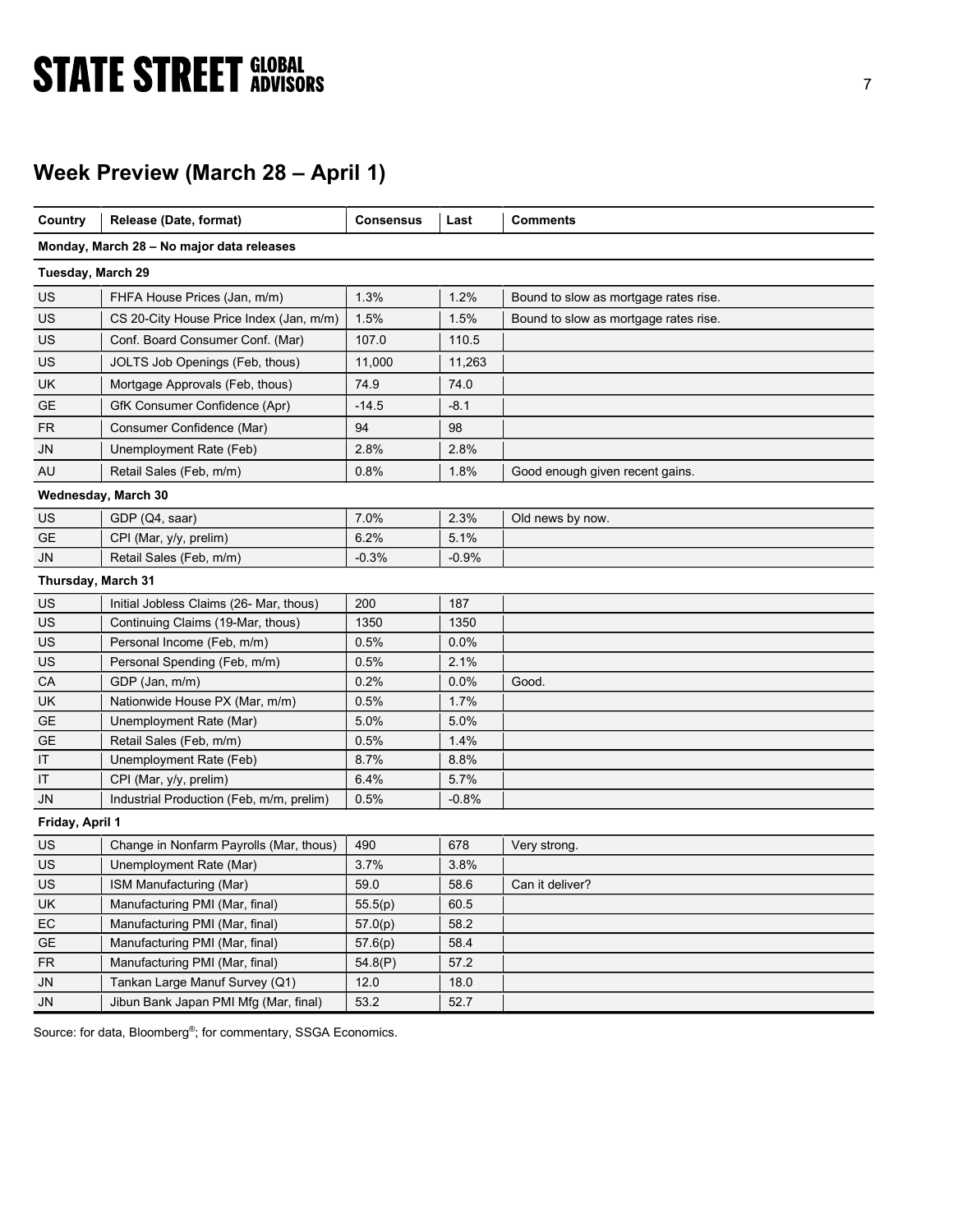# **STATE STREET GLOBAL STATE STREET GLOBAL**

## Week Preview (March 28 – April 1)

| Country            | Release (Date, format)                    | <b>Consensus</b> | Last    | <b>Comments</b>                       |
|--------------------|-------------------------------------------|------------------|---------|---------------------------------------|
|                    | Monday, March 28 – No major data releases |                  |         |                                       |
| Tuesday, March 29  |                                           |                  |         |                                       |
| US                 | FHFA House Prices (Jan, m/m)              | 1.3%             | 1.2%    | Bound to slow as mortgage rates rise. |
| US                 | CS 20-City House Price Index (Jan, m/m)   | 1.5%             | 1.5%    | Bound to slow as mortgage rates rise. |
| US                 | Conf. Board Consumer Conf. (Mar)          | 107.0            | 110.5   |                                       |
| US                 | JOLTS Job Openings (Feb, thous)           | 11,000           | 11,263  |                                       |
| UK                 | Mortgage Approvals (Feb, thous)           | 74.9             | 74.0    |                                       |
| <b>GE</b>          | GfK Consumer Confidence (Apr)             | $-14.5$          | $-8.1$  |                                       |
| <b>FR</b>          | Consumer Confidence (Mar)                 | 94               | 98      |                                       |
| JN                 | Unemployment Rate (Feb)                   | 2.8%             | 2.8%    |                                       |
| AU                 | Retail Sales (Feb, m/m)                   | 0.8%             | 1.8%    | Good enough given recent gains.       |
|                    | Wednesday, March 30                       |                  |         |                                       |
| US                 | GDP (Q4, saar)                            | 7.0%             | 2.3%    | Old news by now.                      |
| GE                 | CPI (Mar, y/y, prelim)                    | 6.2%             | 5.1%    |                                       |
| JN                 | Retail Sales (Feb, m/m)                   | $-0.3%$          | $-0.9%$ |                                       |
| Thursday, March 31 |                                           |                  |         |                                       |
| US                 | Initial Jobless Claims (26- Mar, thous)   | 200              | 187     |                                       |
| US                 | Continuing Claims (19-Mar, thous)         | 1350             | 1350    |                                       |
| US                 | Personal Income (Feb, m/m)                | 0.5%             | 0.0%    |                                       |
| US                 | Personal Spending (Feb, m/m)              | 0.5%             | 2.1%    |                                       |
| СA                 | GDP (Jan, m/m)                            | 0.2%             | 0.0%    | Good.                                 |
| UK                 | Nationwide House PX (Mar, m/m)            | 0.5%             | 1.7%    |                                       |
| <b>GE</b>          | Unemployment Rate (Mar)                   | 5.0%             | 5.0%    |                                       |
| <b>GE</b>          | Retail Sales (Feb, m/m)                   | 0.5%             | 1.4%    |                                       |
| ΙT                 | Unemployment Rate (Feb)                   | 8.7%             | 8.8%    |                                       |
| IT                 | CPI (Mar, y/y, prelim)                    | 6.4%             | 5.7%    |                                       |
| JN                 | Industrial Production (Feb, m/m, prelim)  | 0.5%             | $-0.8%$ |                                       |
| Friday, April 1    |                                           |                  |         |                                       |
| US                 | Change in Nonfarm Payrolls (Mar, thous)   | 490              | 678     | Very strong.                          |
| US                 | Unemployment Rate (Mar)                   | 3.7%             | 3.8%    |                                       |
| US                 | ISM Manufacturing (Mar)                   | 59.0             | 58.6    | Can it deliver?                       |
| UK                 | Manufacturing PMI (Mar, final)            | 55.5(p)          | 60.5    |                                       |
| EC                 | Manufacturing PMI (Mar, final)            | 57.0(p)          | 58.2    |                                       |
| <b>GE</b>          | Manufacturing PMI (Mar, final)            | 57.6(p)          | 58.4    |                                       |
| <b>FR</b>          | Manufacturing PMI (Mar, final)            | 54.8(P)          | 57.2    |                                       |
| JN                 | Tankan Large Manuf Survey (Q1)            | 12.0             | 18.0    |                                       |

Source: for data, Bloomberg<sup>®</sup>; for commentary, SSGA Economics.

JN Jibun Bank Japan PMI Mfg (Mar, final) 53.2 | 52.7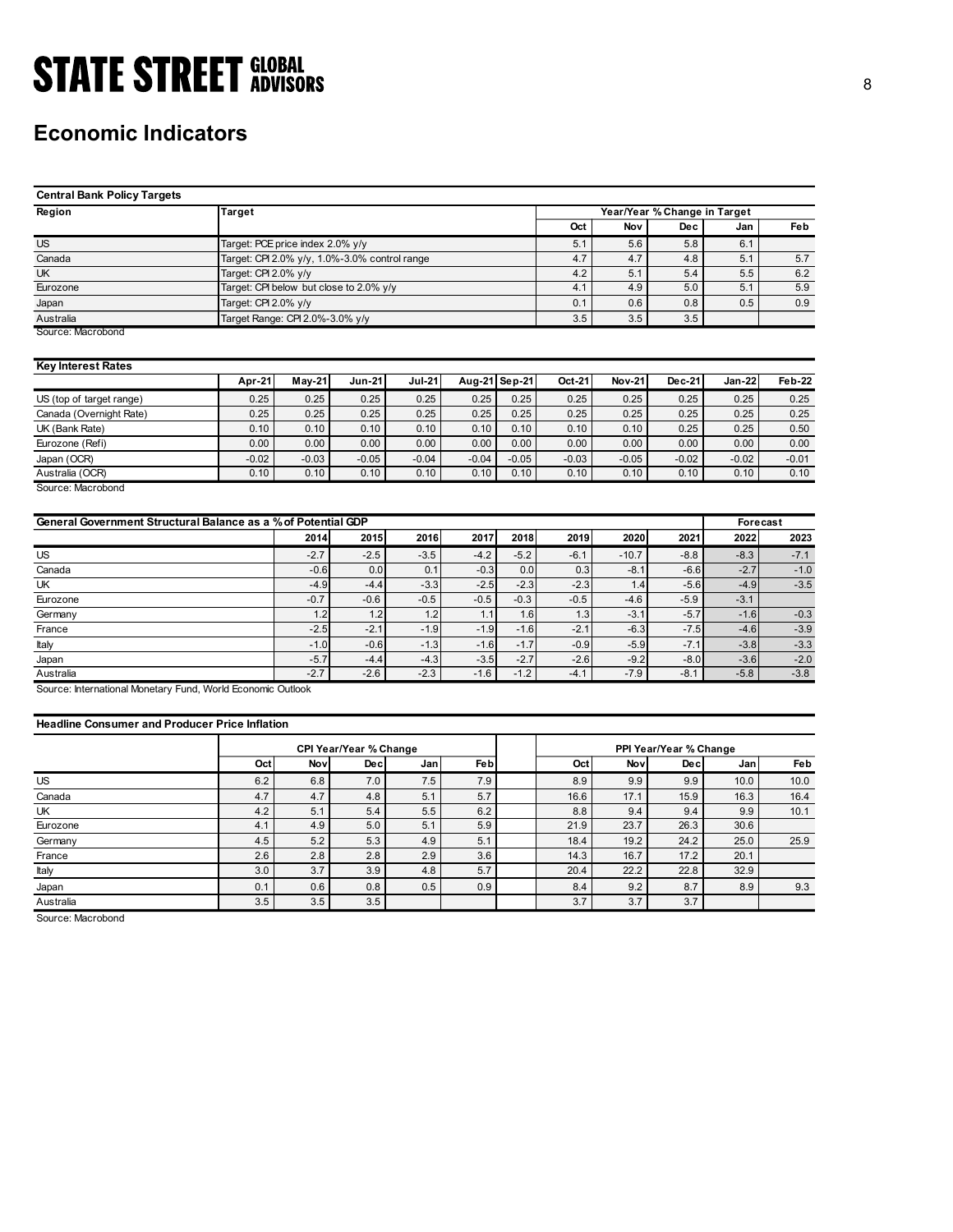## Economic Indicators

| <b>STATE STREET GLOBAL</b>                                    |                                  |                                               |               |               |                 |              |              |                              |              |               |              |
|---------------------------------------------------------------|----------------------------------|-----------------------------------------------|---------------|---------------|-----------------|--------------|--------------|------------------------------|--------------|---------------|--------------|
|                                                               |                                  |                                               |               |               |                 |              |              |                              |              |               |              |
|                                                               |                                  |                                               |               |               |                 |              |              |                              |              |               |              |
|                                                               |                                  |                                               |               |               |                 |              |              |                              |              |               |              |
| <b>Economic Indicators</b>                                    |                                  |                                               |               |               |                 |              |              |                              |              |               |              |
|                                                               |                                  |                                               |               |               |                 |              |              |                              |              |               |              |
|                                                               |                                  |                                               |               |               |                 |              |              |                              |              |               |              |
| <b>Central Bank Policy Targets</b>                            |                                  |                                               |               |               |                 |              |              |                              |              |               |              |
| Region                                                        | Target                           |                                               |               |               |                 |              |              | Year/Year % Change in Target |              |               |              |
|                                                               |                                  |                                               |               |               |                 |              | Oct          | Nov                          | <b>Dec</b>   | Jan           | Feb          |
| <b>US</b>                                                     | Target: PCE price index 2.0% y/y |                                               |               |               |                 |              |              | 5.6                          | 5.8          | 6.1           |              |
| Canada                                                        |                                  | Target: CPI 2.0% y/y, 1.0%-3.0% control range |               |               |                 |              | 5.1<br>4.7   | 4.7                          | 4.8          | 5.1           | 5.7          |
| UK                                                            | Target: CPI 2.0% y/y             |                                               |               |               |                 |              | 4.2          | 5.1                          | 5.4          | 5.5           | 6.2          |
| Eurozone                                                      |                                  | Target: CPI below but close to 2.0% y/y       |               |               |                 |              | 4.1          | 4.9                          | 5.0          | 5.1           | 5.9          |
| Japan                                                         | Target: CPI 2.0% y/y             |                                               |               |               |                 |              | 0.1          | 0.6                          | 0.8          | 0.5           | 0.9          |
| Australia                                                     |                                  | Target Range: CPI 2.0%-3.0% y/y               |               |               |                 |              | 3.5          | 3.5                          | 3.5          |               |              |
| Source: Macrobond                                             |                                  |                                               |               |               |                 |              |              |                              |              |               |              |
|                                                               |                                  |                                               |               |               |                 |              |              |                              |              |               |              |
| <b>Key Interest Rates</b>                                     |                                  |                                               |               |               |                 |              |              |                              |              |               |              |
|                                                               | Apr-21                           | <b>May-21</b>                                 | <b>Jun-21</b> | <b>Jul-21</b> | Aug-21 Sep-21   |              | Oct-21       | <b>Nov-21</b>                | Dec-21       | <b>Jan-22</b> | Feb-22       |
| US (top of target range)                                      | 0.25                             | 0.25                                          | 0.25          | 0.25          | 0.25            | 0.25         | 0.25         | 0.25                         | 0.25         | 0.25          | 0.25         |
| Canada (Overnight Rate)                                       | 0.25                             | 0.25                                          | 0.25          | 0.25          | 0.25            | 0.25         | 0.25         | 0.25                         | 0.25         | 0.25          | 0.25         |
| UK (Bank Rate)<br>Eurozone (Refi)                             | 0.10<br>0.00                     | 0.10<br>0.00                                  | 0.10<br>0.00  | 0.10<br>0.00  | 0.10<br>0.00    | 0.10<br>0.00 | 0.10<br>0.00 | 0.10<br>0.00                 | 0.25<br>0.00 | 0.25<br>0.00  | 0.50<br>0.00 |
|                                                               | $-0.02$                          |                                               | $-0.05$       | $-0.04$       |                 | $-0.05$      | $-0.03$      |                              | $-0.02$      | $-0.02$       | $-0.01$      |
| Japan (OCR)<br>Australia (OCR)                                | 0.10                             | $-0.03$<br>0.10                               | 0.10          | 0.10          | $-0.04$<br>0.10 | 0.10         | 0.10         | $-0.05$<br>0.10              | 0.10         | 0.10          | 0.10         |
| Source: Macrobond                                             |                                  |                                               |               |               |                 |              |              |                              |              |               |              |
|                                                               |                                  |                                               |               |               |                 |              |              |                              |              |               |              |
| General Government Structural Balance as a % of Potential GDP |                                  |                                               |               |               |                 |              |              |                              |              | Forecast      |              |
|                                                               |                                  | 2014                                          | 2015          | 2016          | 2017            | 2018         | 2019         | 2020                         | 2021         | 2022          | 2023         |
| US                                                            |                                  | $-2.7$                                        | $-2.5$        | $-3.5$        | $-4.2$          | $-5.2$       | $-6.1$       | $-10.7$                      | $-8.8$       | $-8.3$        | $-7.1$       |
| Canada                                                        |                                  | $-0.6$                                        | 0.0           | 0.1           | $-0.3$          | 0.0          | 0.3          | $-8.1$                       | $-6.6$       | $-2.7$        | $-1.0$       |
| UK                                                            |                                  | $-4.9$                                        | $-4.4$        | $-3.3$        | $-2.5$          | $-2.3$       | $-2.3$       | 1.4                          | $-5.6$       | $-4.9$        | $-3.5$       |
| Eurozone                                                      |                                  | $-0.7$                                        | $-0.6$        | $-0.5$        | $-0.5$          | $-0.3$       | $-0.5$       | $-4.6$                       | $-5.9$       | $-3.1$        |              |
| Germany                                                       |                                  | 1.2                                           | 1.2           | 1.2           | 1.1             | 1.6          | 1.3          | $-3.1$                       | $-5.7$       | $-1.6$        | $-0.3$       |
| France                                                        |                                  | $-2.5$                                        | $-2.1$        | $-1.9$        | $-1.9$          | $-1.6$       | $-2.1$       | $-6.3$                       | $-7.5$       | $-4.6$        | $-3.9$       |
|                                                               |                                  | $-1.0$                                        | $-0.6$        | $-1.3$        | $-1.6$          | $-1.7$       | $-0.9$       | $-5.9$                       | $-7.1$       | $-3.8$        | $-3.3$       |
| ltaly                                                         |                                  |                                               |               |               |                 |              |              |                              |              |               |              |

| <b>Key Interest Rates</b> |  |  |
|---------------------------|--|--|
|                           |  |  |

|                          | Apr-21  | $Mav-21$ | Jun-21 l | <b>Jul-21</b> |         | Aug-21 Sep-21 | Oct-21  | <b>Nov-21</b> | $Dec-21$ | Jan-22  | <b>Feb-22</b> |
|--------------------------|---------|----------|----------|---------------|---------|---------------|---------|---------------|----------|---------|---------------|
| US (top of target range) | 0.25    | 0.25     | 0.25     | 0.25          | 0.25    | 0.25          | 0.25    | 0.25          | 0.25     | 0.25    | 0.25          |
| Canada (Overnight Rate)  | 0.25    | 0.25     | 0.25     | 0.25          | 0.25    | 0.25          | 0.25    | 0.25          | 0.25     | 0.25    | 0.25          |
| UK (Bank Rate)           | 0.10    | 0.10     | 0.10     | 0.10          | 0.10    | 0.10          | 0.10    | 0.10          | 0.25     | 0.25    | 0.50          |
| Eurozone (Refi)          | 0.00    | 0.00     | 0.00     | 0.00          | 0.00    | 0.00          | 0.00    | 0.00          | 0.00     | 0.00    | 0.00          |
| Japan (OCR)              | $-0.02$ | $-0.03$  | $-0.05$  | $-0.04$       | $-0.04$ | $-0.05$       | $-0.03$ | $-0.05$       | $-0.02$  | $-0.02$ | $-0.01$       |
| Australia (OCR)          | 0.10    | 0.10     | 0.10     | 0.10          | 0.10    | 0.10          | 0.10    | 0.10          | 0.10     | 0.10    | 0.10          |

| <b>Central Bank Policy Targets</b>                            |                                  |         |                                               |               |            |         |         |               |                              |               |               |
|---------------------------------------------------------------|----------------------------------|---------|-----------------------------------------------|---------------|------------|---------|---------|---------------|------------------------------|---------------|---------------|
| Region                                                        | <b>Target</b>                    |         |                                               |               |            |         |         |               | Year/Year % Change in Target |               |               |
|                                                               |                                  |         |                                               |               |            |         | Oct     | Nov           | Dec                          | Jan           | Feb           |
| <b>US</b>                                                     | Target: PCE price index 2.0% y/y |         |                                               |               |            |         | 5.1     | 5.6           | 5.8                          | 6.1           |               |
| Canada                                                        |                                  |         | Target: CPI 2.0% y/y, 1.0%-3.0% control range |               |            |         | 4.7     | 4.7           | 4.8                          | 5.1           | 5.7           |
| UK                                                            | Target: CPI 2.0% y/y             |         |                                               |               |            |         | 4.2     | 5.1           | 5.4                          | 5.5           | 6.2           |
| Eurozone                                                      |                                  |         | Target: CPI below but close to 2.0% y/y       |               |            |         | 4.1     | 4.9           | 5.0                          | 5.1           | 5.9           |
| Japan                                                         | Target: CPI 2.0% y/y             |         |                                               |               |            |         | 0.1     | 0.6           | 0.8                          | 0.5           | $0.9\,$       |
| Australia                                                     | Target Range: CPI 2.0%-3.0% y/y  |         |                                               |               |            |         | 3.5     | 3.5           | 3.5                          |               |               |
| Source: Macrobond                                             |                                  |         |                                               |               |            |         |         |               |                              |               |               |
| <b>Key Interest Rates</b>                                     |                                  |         |                                               |               |            |         |         |               |                              |               |               |
|                                                               | Apr-21                           | May-21  | <b>Jun-21</b>                                 | <b>Jul-21</b> | Aug-21     | Sep-21  | Oct-21  | <b>Nov-21</b> | Dec-21                       | <b>Jan-22</b> | <b>Feb-22</b> |
| US (top of target range)                                      | 0.25                             | 0.25    | 0.25                                          | 0.25          | 0.25       | 0.25    | 0.25    | 0.25          | 0.25                         | 0.25          | 0.25          |
| Canada (Overnight Rate)                                       | 0.25                             | 0.25    | 0.25                                          | 0.25          | 0.25       | 0.25    | 0.25    | 0.25          | 0.25                         | 0.25          | 0.25          |
| UK (Bank Rate)                                                | 0.10                             | 0.10    | 0.10                                          | 0.10          | 0.10       | 0.10    | 0.10    | 0.10          | 0.25                         | 0.25          | 0.50          |
| Eurozone (Refi)                                               | 0.00                             | 0.00    | 0.00                                          | 0.00          | 0.00       | 0.00    | 0.00    | 0.00          | 0.00                         | 0.00          | 0.00          |
| Japan (OCR)                                                   | $-0.02$                          | $-0.03$ | $-0.05$                                       | $-0.04$       | $-0.04$    | $-0.05$ | $-0.03$ | $-0.05$       | $-0.02$                      | $-0.02$       | $-0.01$       |
| Australia (OCR)                                               | 0.10                             | 0.10    | 0.10                                          | 0.10          | 0.10       | 0.10    | 0.10    | 0.10          | 0.10                         | 0.10          | 0.10          |
| Source: Macrobond                                             |                                  |         |                                               |               |            |         |         |               |                              |               |               |
|                                                               |                                  |         |                                               |               |            |         |         |               |                              |               |               |
|                                                               |                                  |         |                                               |               |            |         |         |               |                              |               |               |
| General Government Structural Balance as a % of Potential GDP |                                  |         |                                               |               |            |         |         |               |                              | Forecast      |               |
|                                                               |                                  | 2014    | 2015                                          | 2016          | 2017       | 2018    | 2019    | 2020          | 2021                         | 2022          | 2023          |
| US                                                            |                                  | $-2.7$  | $-2.5$                                        | $-3.5$        | $-4.2$     | $-5.2$  | $-6.1$  | $-10.7$       | $-8.8$                       | $-8.3$        | $-7.1$        |
| Canada                                                        |                                  | $-0.6$  | 0.0                                           | 0.1           | $-0.3$     | 0.0     | 0.3     | $-8.1$        | $-6.6$                       | $-2.7$        | $-1.0$        |
| UK                                                            |                                  | $-4.9$  | $-4.4$                                        | $-3.3$        | $-2.5$     | $-2.3$  | $-2.3$  | 1.4           | $-5.6$                       | $-4.9$        | $-3.5$        |
| Eurozone                                                      |                                  | $-0.7$  | $-0.6$                                        | $-0.5$        | $-0.5$     | $-0.3$  | $-0.5$  | $-4.6$        | $-5.9$                       | $-3.1$        |               |
| Germany                                                       |                                  | 1.2     | 1.2                                           | 1.2           | 1.1        | 1.6     | 1.3     | $-3.1$        | $-5.7$                       | $-1.6$        | $-0.3$        |
| France                                                        |                                  | $-2.5$  | $-2.1$                                        | $-1.9$        | $-1.9$     | $-1.6$  | $-2.1$  | $-6.3$        | $-7.5$                       | $-4.6$        | $-3.9$        |
| Italy                                                         |                                  | $-1.0$  | $-0.6$                                        | $-1.3$        | $-1.6$     | $-1.7$  | $-0.9$  | $-5.9$        | $-7.1$                       | $-3.8$        | $-3.3$        |
| Japan                                                         |                                  | $-5.7$  | $-4.4$                                        | $-4.3$        | $-3.5$     | $-2.7$  | $-2.6$  | $-9.2$        | $-8.0$                       | $-3.6$        | $-2.0$        |
| Australia                                                     |                                  | $-2.7$  | $-2.6$                                        | $-2.3$        | $-1.6$     | $-1.2$  | $-4.1$  | $-7.9$        | $-8.1$                       | $-5.8$        | $-3.8$        |
| Source: International Monetary Fund, World Economic Outlook   |                                  |         |                                               |               |            |         |         |               |                              |               |               |
|                                                               |                                  |         |                                               |               |            |         |         |               |                              |               |               |
| <b>Headline Consumer and Producer Price Inflation</b>         |                                  |         |                                               |               |            |         |         |               |                              |               |               |
|                                                               |                                  |         | CPI Year/Year % Change                        |               |            |         |         |               | PPI Year/Year % Change       |               |               |
|                                                               | Oct                              | Nov     | Dec                                           | Jan           | <b>Feb</b> |         | Oct     | <b>Nov</b>    | <b>Dec</b>                   | Jan           | Feb           |
| US                                                            | 6.2                              | 6.8     | 7.0                                           | 7.5           | 7.9        |         | 8.9     | 9.9           | 9.9                          | 10.0          | 10.0          |
| Canada                                                        | 4.7                              | 4.7     | 4.8                                           | 5.1           | 5.7        |         | 16.6    | 17.1          | 15.9                         | 16.3          | 16.4          |
| UK                                                            | 4.2                              | 5.1     | 5.4                                           | $5.5\,$       | 6.2        |         | 8.8     | 9.4           | 9.4                          | 9.9           | 10.1          |
| Eurozone                                                      | 4.1                              | 4.9     | 5.0                                           | 5.1           | 5.9        |         | 21.9    | 23.7          | 26.3                         | 30.6          |               |
|                                                               | 4.5                              | 5.2     | 5.3                                           | 4.9           | 5.1        |         | 18.4    | 19.2          | 24.2                         | 25.0          | 25.9          |
| Germany                                                       |                                  | 2.8     |                                               | 2.9           |            |         |         |               | 17.2                         |               |               |
| France                                                        | 2.6                              |         | 2.8                                           |               | 3.6        |         | 14.3    | 16.7          |                              | 20.1          |               |
| Italy                                                         | 3.0                              | 3.7     | 3.9                                           | 4.8           | 5.7        |         | 20.4    | 22.2          | 22.8                         | 32.9          |               |
| Japan                                                         | 0.1                              | 0.6     | 0.8                                           | 0.5           | 0.9        |         | 8.4     | 9.2           | 8.7                          | 8.9           | 9.3           |

### Headline Consumer and Producer Price Inflation

| 0.25<br>0.25<br>0.25<br>0.25<br>0.25<br>0.25<br>0.25<br>Canada (Overnight Rate)<br>0.25<br>0.25<br>0.25<br>0.25<br>0.10<br>0.25<br>UK (Bank Rate)<br>0.10<br>0.10<br>0.10<br>0.10<br>0.10<br>0.10<br>0.10<br>0.25<br>Eurozone (Refi)<br>0.00<br>0.00<br>0.00<br>0.00<br>0.00<br>0.00<br>0.00<br>0.00<br>0.00<br>0.00<br>Japan (OCR)<br>$-0.02$<br>$-0.03$<br>$-0.05$<br>$-0.04$<br>$-0.04$<br>$-0.05$<br>$-0.03$<br>$-0.05$<br>$-0.02$<br>$-0.02$<br>Australia (OCR)<br>0.10<br>0.10<br>0.10<br>0.10<br>0.10<br>0.10<br>0.10<br>0.10<br>0.10<br>0.10<br>Source: Macrobond<br>General Government Structural Balance as a % of Potential GDP<br>Forecast<br>2018<br>2015<br>2016<br>2017<br>2019<br>2020<br>2021<br>2022<br>2014<br>$-2.7$<br>$-2.5$<br>$-3.5$<br>$-4.2$<br>$-5.2$<br>$-8.8$<br>$-8.3$<br>US<br>$-6.1$<br>$-10.7$<br>$-7.1$<br>0.1<br>$-0.3$<br>0.0<br>0.3<br>$-2.7$<br>Canada<br>$-0.6$<br>0.0<br>$-8.1$<br>$-6.6$<br>$-2.3$<br>UK<br>$-4.9$<br>$-4.4$<br>$-3.3$<br>$-2.5$<br>$-2.3$<br>1.4<br>$-5.6$<br>$-4.9$<br>$-0.7$<br>$-0.6$<br>$-0.5$<br>$-0.5$<br>$-0.3$<br>$-0.5$<br>$-4.6$<br>$-5.9$<br>$-3.1$<br>Eurozone<br>1.2<br>1.2<br>1.2<br>1.1<br>1.6<br>1.3<br>$-3.1$<br>$-5.7$<br>Germany<br>$-1.6$<br>$-2.5$<br>$-2.1$<br>$-2.1$<br>$-6.3$<br>France<br>$-1.9$<br>$-1.9$<br>$-1.6$<br>$-7.5$<br>$-4.6$<br>$-1.3$<br>$-1.6$<br>$-1.7$<br>$-5.9$<br>$-7.1$<br>$-3.8$<br>$-1.0$<br>$-0.6$<br>$-0.9$<br>ltaly<br>$-2.7$<br>$-2.6$<br>$-9.2$<br>$-3.6$<br>$-5.7$<br>$-4.4$<br>$-4.3$<br>$-3.5$<br>$-8.0$<br>Japan<br>$-2.7$<br>$-7.9$<br>$-2.6$<br>$-2.3$<br>$-1.6$<br>$-1.2$<br>$-4.1$<br>$-8.1$<br>$-5.8$<br>Australia<br>Source: International Monetary Fund, World Economic Outlook<br><b>Headline Consumer and Producer Price Inflation</b><br>CPI Year/Year % Change<br>PPI Year/Year % Change<br>Nov<br>Oct<br>Nov<br>Dec<br><b>Feb</b><br>Oct<br><b>Dec</b><br>Jan<br>Jan<br>US<br>6.2<br>6.8<br>$7.0$<br>$7.5\,$<br>7.9<br>8.9<br>9.9<br>9.9<br>10.0 |        |     |     |     |  |      |      |      |      |              |  |  |  |
|-------------------------------------------------------------------------------------------------------------------------------------------------------------------------------------------------------------------------------------------------------------------------------------------------------------------------------------------------------------------------------------------------------------------------------------------------------------------------------------------------------------------------------------------------------------------------------------------------------------------------------------------------------------------------------------------------------------------------------------------------------------------------------------------------------------------------------------------------------------------------------------------------------------------------------------------------------------------------------------------------------------------------------------------------------------------------------------------------------------------------------------------------------------------------------------------------------------------------------------------------------------------------------------------------------------------------------------------------------------------------------------------------------------------------------------------------------------------------------------------------------------------------------------------------------------------------------------------------------------------------------------------------------------------------------------------------------------------------------------------------------------------------------------------------------------------------------------------------------------------------------------------------------------------------------------------------------------------------------|--------|-----|-----|-----|--|------|------|------|------|--------------|--|--|--|
|                                                                                                                                                                                                                                                                                                                                                                                                                                                                                                                                                                                                                                                                                                                                                                                                                                                                                                                                                                                                                                                                                                                                                                                                                                                                                                                                                                                                                                                                                                                                                                                                                                                                                                                                                                                                                                                                                                                                                                               |        |     |     |     |  |      |      |      |      |              |  |  |  |
|                                                                                                                                                                                                                                                                                                                                                                                                                                                                                                                                                                                                                                                                                                                                                                                                                                                                                                                                                                                                                                                                                                                                                                                                                                                                                                                                                                                                                                                                                                                                                                                                                                                                                                                                                                                                                                                                                                                                                                               |        |     |     |     |  |      |      |      |      | 0.50         |  |  |  |
|                                                                                                                                                                                                                                                                                                                                                                                                                                                                                                                                                                                                                                                                                                                                                                                                                                                                                                                                                                                                                                                                                                                                                                                                                                                                                                                                                                                                                                                                                                                                                                                                                                                                                                                                                                                                                                                                                                                                                                               |        |     |     |     |  |      |      |      |      | 0.00         |  |  |  |
|                                                                                                                                                                                                                                                                                                                                                                                                                                                                                                                                                                                                                                                                                                                                                                                                                                                                                                                                                                                                                                                                                                                                                                                                                                                                                                                                                                                                                                                                                                                                                                                                                                                                                                                                                                                                                                                                                                                                                                               |        |     |     |     |  |      |      |      |      | $-0.01$      |  |  |  |
|                                                                                                                                                                                                                                                                                                                                                                                                                                                                                                                                                                                                                                                                                                                                                                                                                                                                                                                                                                                                                                                                                                                                                                                                                                                                                                                                                                                                                                                                                                                                                                                                                                                                                                                                                                                                                                                                                                                                                                               |        |     |     |     |  |      |      |      |      | 0.10         |  |  |  |
|                                                                                                                                                                                                                                                                                                                                                                                                                                                                                                                                                                                                                                                                                                                                                                                                                                                                                                                                                                                                                                                                                                                                                                                                                                                                                                                                                                                                                                                                                                                                                                                                                                                                                                                                                                                                                                                                                                                                                                               |        |     |     |     |  |      |      |      |      |              |  |  |  |
|                                                                                                                                                                                                                                                                                                                                                                                                                                                                                                                                                                                                                                                                                                                                                                                                                                                                                                                                                                                                                                                                                                                                                                                                                                                                                                                                                                                                                                                                                                                                                                                                                                                                                                                                                                                                                                                                                                                                                                               |        |     |     |     |  |      |      |      |      |              |  |  |  |
|                                                                                                                                                                                                                                                                                                                                                                                                                                                                                                                                                                                                                                                                                                                                                                                                                                                                                                                                                                                                                                                                                                                                                                                                                                                                                                                                                                                                                                                                                                                                                                                                                                                                                                                                                                                                                                                                                                                                                                               |        |     |     |     |  |      |      |      |      | 2023         |  |  |  |
|                                                                                                                                                                                                                                                                                                                                                                                                                                                                                                                                                                                                                                                                                                                                                                                                                                                                                                                                                                                                                                                                                                                                                                                                                                                                                                                                                                                                                                                                                                                                                                                                                                                                                                                                                                                                                                                                                                                                                                               |        |     |     |     |  |      |      |      |      |              |  |  |  |
|                                                                                                                                                                                                                                                                                                                                                                                                                                                                                                                                                                                                                                                                                                                                                                                                                                                                                                                                                                                                                                                                                                                                                                                                                                                                                                                                                                                                                                                                                                                                                                                                                                                                                                                                                                                                                                                                                                                                                                               |        |     |     |     |  |      |      |      |      | $-1.0$       |  |  |  |
|                                                                                                                                                                                                                                                                                                                                                                                                                                                                                                                                                                                                                                                                                                                                                                                                                                                                                                                                                                                                                                                                                                                                                                                                                                                                                                                                                                                                                                                                                                                                                                                                                                                                                                                                                                                                                                                                                                                                                                               |        |     |     |     |  |      |      |      |      | $-3.5$       |  |  |  |
|                                                                                                                                                                                                                                                                                                                                                                                                                                                                                                                                                                                                                                                                                                                                                                                                                                                                                                                                                                                                                                                                                                                                                                                                                                                                                                                                                                                                                                                                                                                                                                                                                                                                                                                                                                                                                                                                                                                                                                               |        |     |     |     |  |      |      |      |      |              |  |  |  |
|                                                                                                                                                                                                                                                                                                                                                                                                                                                                                                                                                                                                                                                                                                                                                                                                                                                                                                                                                                                                                                                                                                                                                                                                                                                                                                                                                                                                                                                                                                                                                                                                                                                                                                                                                                                                                                                                                                                                                                               |        |     |     |     |  |      |      |      |      | $-0.3$       |  |  |  |
|                                                                                                                                                                                                                                                                                                                                                                                                                                                                                                                                                                                                                                                                                                                                                                                                                                                                                                                                                                                                                                                                                                                                                                                                                                                                                                                                                                                                                                                                                                                                                                                                                                                                                                                                                                                                                                                                                                                                                                               |        |     |     |     |  |      |      |      |      | $-3.9$       |  |  |  |
|                                                                                                                                                                                                                                                                                                                                                                                                                                                                                                                                                                                                                                                                                                                                                                                                                                                                                                                                                                                                                                                                                                                                                                                                                                                                                                                                                                                                                                                                                                                                                                                                                                                                                                                                                                                                                                                                                                                                                                               |        |     |     |     |  |      |      |      |      | $-3.3$       |  |  |  |
|                                                                                                                                                                                                                                                                                                                                                                                                                                                                                                                                                                                                                                                                                                                                                                                                                                                                                                                                                                                                                                                                                                                                                                                                                                                                                                                                                                                                                                                                                                                                                                                                                                                                                                                                                                                                                                                                                                                                                                               |        |     |     |     |  |      |      |      |      | $-2.0$       |  |  |  |
|                                                                                                                                                                                                                                                                                                                                                                                                                                                                                                                                                                                                                                                                                                                                                                                                                                                                                                                                                                                                                                                                                                                                                                                                                                                                                                                                                                                                                                                                                                                                                                                                                                                                                                                                                                                                                                                                                                                                                                               |        |     |     |     |  |      |      |      |      |              |  |  |  |
|                                                                                                                                                                                                                                                                                                                                                                                                                                                                                                                                                                                                                                                                                                                                                                                                                                                                                                                                                                                                                                                                                                                                                                                                                                                                                                                                                                                                                                                                                                                                                                                                                                                                                                                                                                                                                                                                                                                                                                               |        |     |     |     |  |      |      |      |      | $-3.8$       |  |  |  |
|                                                                                                                                                                                                                                                                                                                                                                                                                                                                                                                                                                                                                                                                                                                                                                                                                                                                                                                                                                                                                                                                                                                                                                                                                                                                                                                                                                                                                                                                                                                                                                                                                                                                                                                                                                                                                                                                                                                                                                               |        |     |     |     |  |      |      |      |      |              |  |  |  |
|                                                                                                                                                                                                                                                                                                                                                                                                                                                                                                                                                                                                                                                                                                                                                                                                                                                                                                                                                                                                                                                                                                                                                                                                                                                                                                                                                                                                                                                                                                                                                                                                                                                                                                                                                                                                                                                                                                                                                                               |        |     |     |     |  |      |      |      |      | Feb          |  |  |  |
| 4.7<br>5.7                                                                                                                                                                                                                                                                                                                                                                                                                                                                                                                                                                                                                                                                                                                                                                                                                                                                                                                                                                                                                                                                                                                                                                                                                                                                                                                                                                                                                                                                                                                                                                                                                                                                                                                                                                                                                                                                                                                                                                    |        |     |     |     |  |      |      |      |      |              |  |  |  |
|                                                                                                                                                                                                                                                                                                                                                                                                                                                                                                                                                                                                                                                                                                                                                                                                                                                                                                                                                                                                                                                                                                                                                                                                                                                                                                                                                                                                                                                                                                                                                                                                                                                                                                                                                                                                                                                                                                                                                                               |        |     |     |     |  |      |      |      |      | 10.0<br>16.4 |  |  |  |
| 5.4<br>4.2<br>5.1<br>5.5<br>6.2<br>9.4<br>9.4<br>9.9<br>8.8<br>10.1                                                                                                                                                                                                                                                                                                                                                                                                                                                                                                                                                                                                                                                                                                                                                                                                                                                                                                                                                                                                                                                                                                                                                                                                                                                                                                                                                                                                                                                                                                                                                                                                                                                                                                                                                                                                                                                                                                           | Canada | 4.7 | 4.8 | 5.1 |  | 16.6 | 17.1 | 15.9 | 16.3 |              |  |  |  |
| 5.0<br>5.1<br>5.9<br>Eurozone<br>4.1<br>4.9<br>21.9<br>23.7<br>26.3<br>30.6                                                                                                                                                                                                                                                                                                                                                                                                                                                                                                                                                                                                                                                                                                                                                                                                                                                                                                                                                                                                                                                                                                                                                                                                                                                                                                                                                                                                                                                                                                                                                                                                                                                                                                                                                                                                                                                                                                   |        |     |     |     |  |      |      |      |      |              |  |  |  |
| UK<br>5.2<br>5.3<br>4.9<br>5.1<br>4.5<br>19.2<br>24.2<br>25.0<br>25.9<br>Germany<br>18.4                                                                                                                                                                                                                                                                                                                                                                                                                                                                                                                                                                                                                                                                                                                                                                                                                                                                                                                                                                                                                                                                                                                                                                                                                                                                                                                                                                                                                                                                                                                                                                                                                                                                                                                                                                                                                                                                                      |        |     |     |     |  |      |      |      |      |              |  |  |  |
| 2.6<br>2.8<br>2.8<br>2.9<br>3.6<br>16.7<br>17.2<br>France<br>14.3<br>20.1                                                                                                                                                                                                                                                                                                                                                                                                                                                                                                                                                                                                                                                                                                                                                                                                                                                                                                                                                                                                                                                                                                                                                                                                                                                                                                                                                                                                                                                                                                                                                                                                                                                                                                                                                                                                                                                                                                     |        |     |     |     |  |      |      |      |      |              |  |  |  |
| 3.7<br>4.8<br>5.7<br>22.2<br>22.8<br>32.9<br>Italy<br>3.0<br>3.9<br>20.4                                                                                                                                                                                                                                                                                                                                                                                                                                                                                                                                                                                                                                                                                                                                                                                                                                                                                                                                                                                                                                                                                                                                                                                                                                                                                                                                                                                                                                                                                                                                                                                                                                                                                                                                                                                                                                                                                                      |        |     |     |     |  |      |      |      |      |              |  |  |  |
| 0.8<br>0.9<br>9.2<br>8.7<br>0.1<br>0.6<br>0.5<br>8.4<br>8.9<br>9.3<br>Japan                                                                                                                                                                                                                                                                                                                                                                                                                                                                                                                                                                                                                                                                                                                                                                                                                                                                                                                                                                                                                                                                                                                                                                                                                                                                                                                                                                                                                                                                                                                                                                                                                                                                                                                                                                                                                                                                                                   |        |     |     |     |  |      |      |      |      |              |  |  |  |
| 3.5<br>3.5<br>3.5<br>3.7<br>3.7<br>3.7                                                                                                                                                                                                                                                                                                                                                                                                                                                                                                                                                                                                                                                                                                                                                                                                                                                                                                                                                                                                                                                                                                                                                                                                                                                                                                                                                                                                                                                                                                                                                                                                                                                                                                                                                                                                                                                                                                                                        |        |     |     |     |  |      |      |      |      |              |  |  |  |
|                                                                                                                                                                                                                                                                                                                                                                                                                                                                                                                                                                                                                                                                                                                                                                                                                                                                                                                                                                                                                                                                                                                                                                                                                                                                                                                                                                                                                                                                                                                                                                                                                                                                                                                                                                                                                                                                                                                                                                               |        |     |     |     |  |      |      |      |      |              |  |  |  |
|                                                                                                                                                                                                                                                                                                                                                                                                                                                                                                                                                                                                                                                                                                                                                                                                                                                                                                                                                                                                                                                                                                                                                                                                                                                                                                                                                                                                                                                                                                                                                                                                                                                                                                                                                                                                                                                                                                                                                                               |        |     |     |     |  |      |      |      |      |              |  |  |  |
|                                                                                                                                                                                                                                                                                                                                                                                                                                                                                                                                                                                                                                                                                                                                                                                                                                                                                                                                                                                                                                                                                                                                                                                                                                                                                                                                                                                                                                                                                                                                                                                                                                                                                                                                                                                                                                                                                                                                                                               |        |     |     |     |  |      |      |      |      |              |  |  |  |
|                                                                                                                                                                                                                                                                                                                                                                                                                                                                                                                                                                                                                                                                                                                                                                                                                                                                                                                                                                                                                                                                                                                                                                                                                                                                                                                                                                                                                                                                                                                                                                                                                                                                                                                                                                                                                                                                                                                                                                               |        |     |     |     |  |      |      |      |      |              |  |  |  |
|                                                                                                                                                                                                                                                                                                                                                                                                                                                                                                                                                                                                                                                                                                                                                                                                                                                                                                                                                                                                                                                                                                                                                                                                                                                                                                                                                                                                                                                                                                                                                                                                                                                                                                                                                                                                                                                                                                                                                                               |        |     |     |     |  |      |      |      |      |              |  |  |  |
|                                                                                                                                                                                                                                                                                                                                                                                                                                                                                                                                                                                                                                                                                                                                                                                                                                                                                                                                                                                                                                                                                                                                                                                                                                                                                                                                                                                                                                                                                                                                                                                                                                                                                                                                                                                                                                                                                                                                                                               |        |     |     |     |  |      |      |      |      |              |  |  |  |
|                                                                                                                                                                                                                                                                                                                                                                                                                                                                                                                                                                                                                                                                                                                                                                                                                                                                                                                                                                                                                                                                                                                                                                                                                                                                                                                                                                                                                                                                                                                                                                                                                                                                                                                                                                                                                                                                                                                                                                               |        |     |     |     |  |      |      |      |      |              |  |  |  |
|                                                                                                                                                                                                                                                                                                                                                                                                                                                                                                                                                                                                                                                                                                                                                                                                                                                                                                                                                                                                                                                                                                                                                                                                                                                                                                                                                                                                                                                                                                                                                                                                                                                                                                                                                                                                                                                                                                                                                                               |        |     |     |     |  |      |      |      |      |              |  |  |  |
|                                                                                                                                                                                                                                                                                                                                                                                                                                                                                                                                                                                                                                                                                                                                                                                                                                                                                                                                                                                                                                                                                                                                                                                                                                                                                                                                                                                                                                                                                                                                                                                                                                                                                                                                                                                                                                                                                                                                                                               |        |     |     |     |  |      |      |      |      |              |  |  |  |
|                                                                                                                                                                                                                                                                                                                                                                                                                                                                                                                                                                                                                                                                                                                                                                                                                                                                                                                                                                                                                                                                                                                                                                                                                                                                                                                                                                                                                                                                                                                                                                                                                                                                                                                                                                                                                                                                                                                                                                               |        |     |     |     |  |      |      |      |      |              |  |  |  |
| Australia<br>Source: Macrobond                                                                                                                                                                                                                                                                                                                                                                                                                                                                                                                                                                                                                                                                                                                                                                                                                                                                                                                                                                                                                                                                                                                                                                                                                                                                                                                                                                                                                                                                                                                                                                                                                                                                                                                                                                                                                                                                                                                                                |        |     |     |     |  |      |      |      |      |              |  |  |  |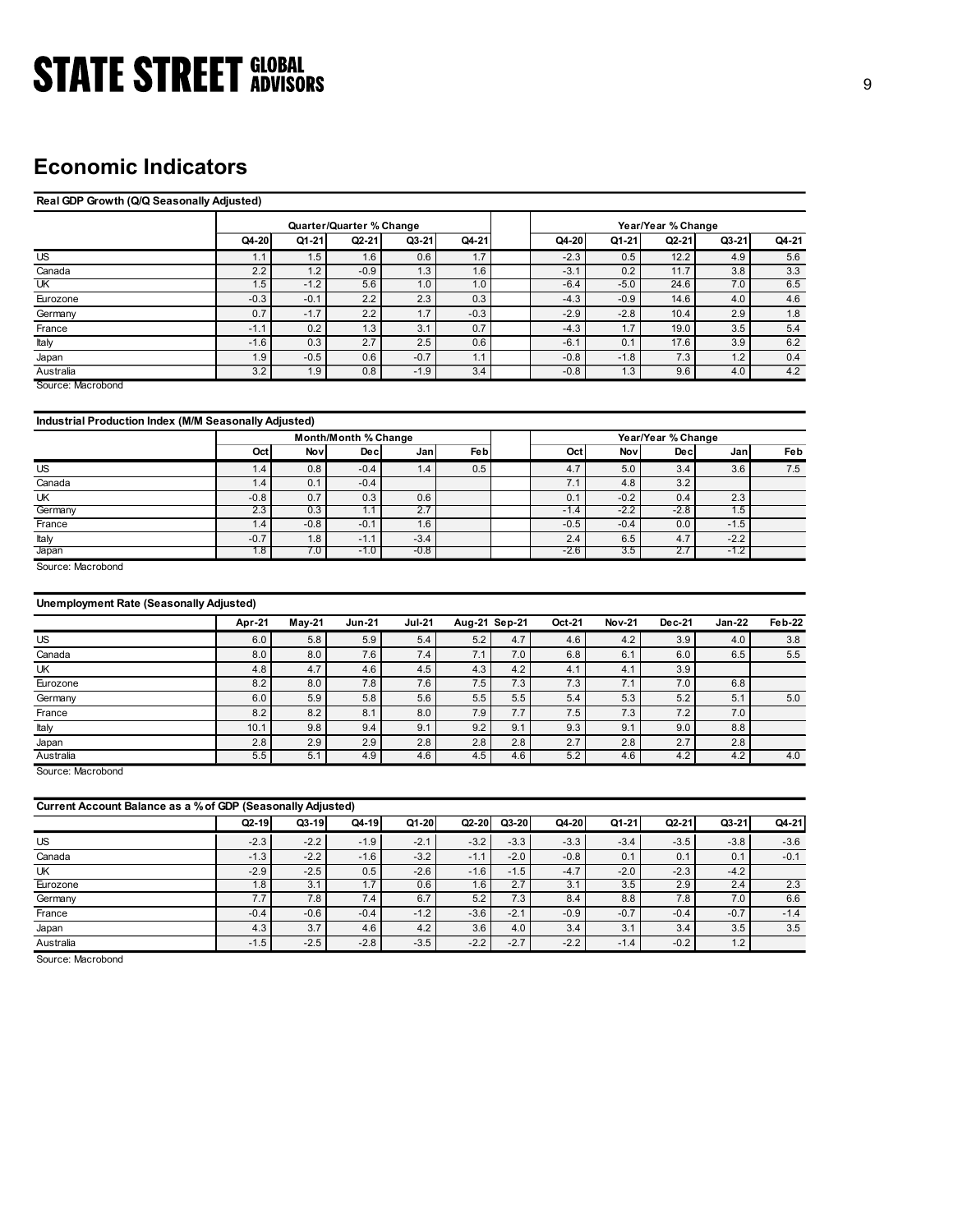## Economic Indicators

## Real GDP Growth (Q/Q Seasonally Adjusted) **GLOBAL**<br>
(160)<br>
(160)<br>
(160)<br>
(2014-21 Q4-21 Q4-21 Q4-21 Q4-21 Q4-21 Q4-21 Q4-21 Q4-21 Q4-21 Q4-21 Q4-21 Q4-21 Q4-21 Q4-21 Q4-21 Q4-21 Q4-21 Q4-21 Q4-21 Q4-21 Q4-21 Q4-21 Q4-21 Q4-21 Q4-21 Q4-21 Q4-21 Q4-21 Q4-21 Q4-21 Q **STATE STREET** GLOBAL<br>
Real ODP Growth (QIQ Seasonally Adjusted)<br>
Real ODP Growth (QIQ Seasonally Adjusted)<br>
(US and Carrier Manager 2011 1.5 1.6 0.6 1.7 -2.3 0.5 12.2 1.9 2.42<br>
US<br>
US and Carrier 2.2 1.2 -0.5 1.9 1.9 1.9 **STATE STREET** GLOBAL<br>
Real GOP Growth (QQ Seasonally Adjusted)<br>
ECONOMIC Indicators<br>
Real GM<br>
Canada (1-21) G2-21 G3-21 Q4-21<br>
Canada (1-21) G2-21 G3-21 Q4-21<br>
Canada (1-1 1-5 -3.1 1-5 -3.1 02 1-21 1-3.8 3.3<br>
Canada (1-1 UK 1.5 -1.2 5.6 1.0 1.0 -6.4 -5.0 24.6 7.0 6.5 **STATE STREET** GLOBAL<br> **Economic Indicators**<br> **Example Converts (QQ Seasonally Adjusted)**<br> **Example 2.2** -0.3 -0.1 2.2 -0.3 -0.1 2.2 -0.3 -4.3 -0.2 -1.1 -0.8 -0.9<br> **Example 2.2** -1.2 -0.4 -0.1 -0.1 -0.1 -0.2 -1.1 -0.2 -1. **STATE STREET** GIOBAL<br> **ECONOMIC Indicators**<br> **ERECORD ADVISORS**<br> **EXECUTE ADVISORS**<br> **EXECUTE ADVISORS**<br> **EXECUTE ADVISORS**<br> **EXECUTE ADVISORS**<br> **EXECUTE ADVISORS**<br> **EXECUTE ADVISORS**<br> **EXECUTE ADVISORS**<br> **EXECUTE ADVISO STATE STREET GLOBAL**<br> **ECONOMIC Indicators**<br> **ECONOMIC INCERT ADVISORS**<br> **ECONOMIC INCERT ADVISORS**<br> **EXEMPLE TO ACCOUNT AUGUST ADVISORS**<br> **EXEMPLE TO ACCOUNT AUGUST AND ACCOUNT ACCOUNT AUGUST AND ACCOUNT AUGUST AND ACCO STATE STREET ADVISORS**<br> **ECONOMIC Indicators**<br> **ENERGY COVIDENCE ADVISORS**<br> **ENERGY COVID COVID AND ADVISORS**<br> **ENERGY COVID AND ADVISORS**<br>
<u>AND OF COVID AND ADVISORS<br>  $\frac{15}{215}$   $\frac{15}{10}$   $\frac{15}{10}$   $\frac{15}{10}$   $\frac$ **STATE STREET GIOBAL**<br>
Real GDP Growth (Q/Q Seasonally Aquite(s)<br>
The Coronal Coronal Coronal Coronal Coronal Coronal Coronal Coronal Coronal Coronal Coronal Coronal Coronal Coronal Coronal Coronal Coronal Coronal Coronal Australia 3.2 1.9 0.8 -1.9 3.4 -0.8 1.3 9.6 4.0 4.2 Source: Macrobond **CIOBAL**<br> **CIOBAL**<br> **CIOBAL CONTECT ACTION (1994)**<br> **CIOBAL CONTECT ACTION (1994)**<br> **CIOBAL CONTECT ACTION (1994)**<br> **CIOBAL CONTECT ACTION (1994)**<br>
<u>CIOBAL CONTECT ACTION (1994)</u><br>
<u>CIOBAL CONTECT ACTION (1994)</u><br>
<u>CIOBAL C</u> **STATE STREET HOUSIN.**<br> **ECONOMIC Indicators**<br> **Example Control (IOS)**<br> **EXAMPLE STREET ADVISORS**<br> **EXAMPLE STREET ADVISORS**<br> **EXAMPLE STREET ADVISORS**<br> **EXAMPLE STREET ADVISORS**<br> **EXAMPLE STREET ADVISORS**<br> **EXAMPLE STREE** Canada 1.4 0.1 -0.4 7.1 4.8 3.2 UK -0.8 0.7 0.3 0.6 0.1 -0.2 0.4 2.3 **ECONOMIC Indicators**<br>
Real COP Growth (QQ Sessonally Adjusted)<br>
(advantage of the control of the control of the control of the control of the control of the control of the control of the control of the control of the cont **ECONOMIC Indicators**<br> **Example 70 over the Club and Adjusted)**<br>
US and 2019 (1974) Adjusted)<br>
US and 21 -3.5 2.4 2.5 4.8 2.4 2.5 4.8 2.4 6.5 4.7 -2.2 4.8 2.4 6.5 4.7<br>
US and 21 -2.2 1.4 2.5 4.7 -2.2 -2.4 4.8 4.7 -2.2 4.8 Apr-21 May-21 Jun-21 Jul-21 Aug-21 Sep-21 Oct-21 Nov-21 Dec-21 Jan-22 Feb-22 US 6.0 5.8 5.9 5.4 5.2 4.7 4.6 4.2 3.9 4.0 3.8 Monter/Cuarter % Change Year/Year % Change Year/Year % Change Year/Year % Change Year/Year % Change Year/Year % Change Year/Year % Change Year/Year % Change Year/Year % Change Year/Year % Change Year/Year % Change Year/Ye **All SORS**<br> **Quarter/Quarter % Change**<br> **Q1-21 Q2-21 Q3-21 Q4-21 Q4-20 Q1-21 Q2-21 Q3-21 Q4-21**<br>
1.5 16 0.6 17 2.3 0.5 12 4.4 6.5 12<br>
1.2 6.6 13 16 3.1 0.2 117 3.8 3.3<br>
1.2 5.6 10 1.0 6.4 5.0 24.6 7.0 6.5<br>

### Industrial Production Index (M/M Seasonally Adjusted)

|         |                  |        | Month/Month % Change |        |     | Year/Year % Change |        |                 |        |     |  |  |
|---------|------------------|--------|----------------------|--------|-----|--------------------|--------|-----------------|--------|-----|--|--|
|         | Octi             | Nov    | Dec.                 | Jan    | Feb | Oct                | Nov    | Decl            | Jan I  | Feb |  |  |
| US      | $1.4^{\circ}$    | 0.8    | $-0.4$               | 1.4    | 0.5 | 4.7                | 5.0    | 3.4             | 3.6    | 7.5 |  |  |
| Canada  | .4'              | 0.1    | $-0.4$               |        |     |                    | 4.8    | 3.2             |        |     |  |  |
| UK      | $-0.8$           | 0.7    | 0.3                  | 0.6    |     | 0.1                | $-0.2$ | 0.4             | 2.3    |     |  |  |
| Germany | $2.\overline{3}$ | 0.3    | ι.                   | 2.7    |     | $-1.4$             | $-2.2$ | $-2.8$          | 1.5    |     |  |  |
| France  | 1.4'             | $-0.8$ | $-0.1$               | 1.6    |     | $-0.5$             | $-0.4$ | 0.0             | $-1.5$ |     |  |  |
| Italy   | $-0.7$           | 1.8    | $-1.1$               | $-3.4$ |     | 2.4                | 6.5    | 4.7             | $-2.2$ |     |  |  |
| Japan   | $1.8 +$          | 7.0    | $-1.0$               | $-0.8$ |     | $-2.6$             | 3.5    | $\mathcal{L}$ . | $-1.2$ |     |  |  |

### Unemployment Rate (Seasonally Adjusted)

| $\overline{US}$                                                            | 1.1           | 1.5           | 1.6                  | 0.6           | 1.7           |               | $-2.3$        | 0.5           | 12.2               | 4.9           | 5.6           |
|----------------------------------------------------------------------------|---------------|---------------|----------------------|---------------|---------------|---------------|---------------|---------------|--------------------|---------------|---------------|
| Canada                                                                     | 2.2           | 1.2           | $-0.9$               | 1.3           | 1.6           |               | $-3.1$        | 0.2           | 11.7               | 3.8           | 3.3           |
| UK                                                                         | 1.5           | $-1.2$        | 5.6                  | 1.0           | 1.0           |               | $-6.4$        | $-5.0$        | 24.6               | 7.0           | 6.5           |
| Eurozone                                                                   | $-0.3$        | $-0.1$        | 2.2                  | 2.3           | 0.3           |               | $-4.3$        | $-0.9$        | 14.6               | 4.0           | 4.6           |
| Germany                                                                    | 0.7           | $-1.7$        | 2.2                  | 1.7           | $-0.3$        |               | $-2.9$        | $-2.8$        | 10.4               | 2.9           | 1.8           |
| France                                                                     | $-1.1$        | 0.2           | 1.3                  | 3.1           | 0.7           |               | $-4.3$        | 1.7           | 19.0               | 3.5           | 5.4           |
| Italy                                                                      | $-1.6$        | 0.3           | 2.7                  | 2.5           | 0.6           |               | $-6.1$        | 0.1           | 17.6               | 3.9           | 6.2           |
| Japan                                                                      | 1.9           | $-0.5$        | 0.6                  | $-0.7$        | 1.1           |               | $-0.8$        | $-1.8$        | 7.3                | 1.2           | 0.4           |
| Australia                                                                  | 3.2           | 1.9           | 0.8                  | $-1.9$        | 3.4           |               | $-0.8$        | 1.3           | 9.6                | 4.0           | 4.2           |
| Source: Macrobond<br>Industrial Production Index (M/M Seasonally Adjusted) |               |               |                      |               |               |               |               |               |                    |               |               |
|                                                                            |               |               |                      |               |               |               |               |               |                    |               |               |
|                                                                            |               |               | Month/Month % Change |               |               |               |               |               | Year/Year % Change |               |               |
|                                                                            | Oct           | Nov           | Dec                  | Jan           | Fe b          |               | Oct           | Nov           | Dec                | Jan           | Feb           |
| US                                                                         | 1.4           | 0.8           | $-0.4$               | 1.4           | 0.5           |               | 4.7           | 5.0           | 3.4                | 3.6           | 7.5           |
| Canada                                                                     | 1.4           | 0.1           | $-0.4$               |               |               |               | 7.1           | 4.8           | 3.2                |               |               |
| UK                                                                         | $-0.8$        | 0.7           | 0.3                  | 0.6           |               |               | 0.1           | $-0.2$        | 0.4                | 2.3           |               |
| Germany                                                                    | 2.3           | 0.3           | 1.1                  | 2.7           |               |               | $-1.4$        | $-2.2$        | $-2.8$             | 1.5           |               |
| France                                                                     | 1.4           | $-0.8$        | $-0.1$               | 1.6           |               |               | $-0.5$        | $-0.4$        | 0.0                | $-1.5$        |               |
| Italy                                                                      | $-0.7$        | 1.8           | $-1.1$               | $-3.4$        |               |               | 2.4           | 6.5           | 4.7                | $-2.2$        |               |
| Japan<br>Source: Macrobond                                                 | 1.8           | 7.0           | $-1.0$               | $-0.8$        |               |               | -2.6          | 3.5           | 2.7                | $-1.2$        |               |
| <b>Unemployment Rate (Seasonally Adjusted)</b>                             |               |               |                      |               |               |               |               |               |                    |               |               |
|                                                                            | Apr-21        | May-21        | <b>Jun-21</b>        | <b>Jul-21</b> | Aug-21 Sep-21 |               | Oct-21        | <b>Nov-21</b> | Dec-21             | $Jan-22$      | Feb-22        |
| US                                                                         | 6.0           | 5.8           | 5.9                  | 5.4           | 5.2           | 4.7           | 4.6           | 4.2           | 3.9                | 4.0           | 3.8           |
| Canada                                                                     | 8.0           | 8.0           | 7.6                  | 7.4           | 7.1           | 7.0           | 6.8           | 6.1           |                    |               |               |
| UK                                                                         | 4.8           | 4.7           | 4.6                  |               |               |               |               |               | 6.0                | 6.5           | 5.5           |
| Eurozone                                                                   | 8.2           |               |                      | 4.5           | 4.3           | 4.2           | 4.1           | 4.1           | 3.9                |               |               |
| Germany                                                                    |               | 8.0           | 7.8                  | 7.6           | 7.5           | 7.3           | 7.3           | 7.1           | 7.0                | 6.8           |               |
|                                                                            | 6.0           | 5.9           | 5.8                  | 5.6           | 5.5           | 5.5           | 5.4           | 5.3           | $5.2$              | 5.1           | 5.0           |
|                                                                            | 8.2           |               |                      |               |               |               |               |               |                    |               |               |
| France                                                                     |               | 8.2           | 8.1                  | 8.0           | 7.9           | 7.7           | 7.5           | 7.3           | 7.2                | 7.0           |               |
| Italy                                                                      | 10.1          | 9.8           | 9.4                  | 9.1           | 9.2           | 9.1           | 9.3           | 9.1           | 9.0                | 8.8           |               |
| Japan                                                                      | 2.8           | 2.9           | 2.9                  | 2.8           | 2.8           | 2.8           | 2.7           | 2.8           | 2.7                | 2.8           |               |
| Australia                                                                  | 5.5           | 5.1           | 4.9                  | 4.6           | 4.5           | 4.6           | 5.2           | 4.6           | 4.2                | 4.2           | 4.0           |
| Source: Macrobond                                                          |               |               |                      |               |               |               |               |               |                    |               |               |
| Current Account Balance as a % of GDP (Seasonally Adjusted)                |               |               |                      |               |               |               |               |               |                    |               |               |
|                                                                            | $Q2-19$       | $Q3-19$       | Q4-19                | Q1-20         | $Q2-20$       | $Q3-20$       | Q4-20         | Q1-21         | Q2-21              | Q3-21         | Q4-21         |
| US                                                                         | $-2.3$        | $-2.2$        | $-1.9$               | $-2.1$        | $-3.2$        | $-3.3$        | $-3.3$        | $-3.4$        | $-3.5$             | $-3.8$        | $-3.6$        |
|                                                                            | $-1.3$        | $-2.2$        | $-1.6$               |               |               |               | $-0.8$        | 0.1           | 0.1                | 0.1           |               |
| Canada                                                                     |               |               |                      | $-3.2$        | $-1.1$        | $-2.0$        |               |               |                    |               | $-0.1$        |
| UK                                                                         | $-2.9$        | $-2.5$        | 0.5                  | $-2.6$        | $-1.6$        | $-1.5$        | $-4.7$        | $-2.0$        | $-2.3$             | $-4.2$        |               |
| Eurozone                                                                   | 1.8           | 3.1           | 1.7                  | 0.6           | 1.6           | 2.7           | 3.1           | 3.5           | 2.9                | 2.4           | 2.3           |
| Germany                                                                    | 7.7           | 7.8           | 7.4                  | 6.7           | 5.2           | 7.3           | 8.4           | 8.8           | 7.8                | 7.0           | 6.6           |
| France<br>Japan                                                            | $-0.4$<br>4.3 | $-0.6$<br>3.7 | $-0.4$<br>4.6        | $-1.2$<br>4.2 | $-3.6$<br>3.6 | $-2.1$<br>4.0 | $-0.9$<br>3.4 | $-0.7$<br>3.1 | $-0.4$<br>3.4      | $-0.7$<br>3.5 | $-1.4$<br>3.5 |

|                                                                                               | Oct     | Nov           | Dec           | Jan           | <b>Feb</b>    |         | Oct    | Nov           | Dec       | Jan           | Feb     |
|-----------------------------------------------------------------------------------------------|---------|---------------|---------------|---------------|---------------|---------|--------|---------------|-----------|---------------|---------|
| US                                                                                            | 1.4     | 0.8           | $-0.4$        | 1.4           | 0.5           |         | 4.7    | 5.0           | 3.4       | 3.6           | 7.5     |
| Canada                                                                                        | 1.4     | 0.1           | $-0.4$        |               |               |         | 7.1    | 4.8           | 3.2       |               |         |
| UK                                                                                            | $-0.8$  | 0.7           | 0.3           | 0.6           |               |         | 0.1    | $-0.2$        | 0.4       | 2.3           |         |
| Germany                                                                                       | 2.3     | 0.3           | 1.1           | 2.7           |               |         | $-1.4$ | $-2.2$        | $-2.8$    | 1.5           |         |
| France                                                                                        | 1.4     | $-0.8$        | $-0.1$        | 1.6           |               |         | $-0.5$ | $-0.4$        | 0.0       | $-1.5$        |         |
| Italy                                                                                         | $-0.7$  | 1.8           | $-1.1$        | $-3.4$        |               |         | 2.4    | 6.5           | 4.7       | $-2.2$        |         |
| Japan                                                                                         | 1.8     | 7.0           | $-1.0$        | -0.8          |               |         | $-2.6$ | 3.5           | 2.7       | $-1.2$        |         |
| Source: Macrobond                                                                             |         |               |               |               |               |         |        |               |           |               |         |
| <b>Unemployment Rate (Seasonally Adjusted)</b>                                                |         |               |               |               |               |         |        |               |           |               |         |
|                                                                                               | Apr-21  | <b>May-21</b> | <b>Jun-21</b> | <b>Jul-21</b> | Aug-21 Sep-21 |         | Oct-21 | <b>Nov-21</b> | Dec-21    | <b>Jan-22</b> | Feb-22  |
| US                                                                                            | 6.0     | 5.8           | 5.9           | 5.4           | 5.2           | 4.7     | 4.6    | 4.2           | 3.9       | 4.0           | 3.8     |
| Canada                                                                                        | 8.0     | 8.0           | 7.6           | 7.4           | 7.1           | 7.0     | 6.8    | 6.1           | 6.0       | 6.5           | 5.5     |
| UK                                                                                            | 4.8     | 4.7           | 4.6           | 4.5           | 4.3           | 4.2     | 4.1    | 4.1           | 3.9       |               |         |
| Eurozone                                                                                      | 8.2     | 8.0           | 7.8           | 7.6           | 7.5           | 7.3     | 7.3    | 7.1           | 7.0       | 6.8           |         |
| Germany                                                                                       | 6.0     | 5.9           | 5.8           | 5.6           | 5.5           | 5.5     | 5.4    | 5.3           | 5.2       | 5.1           | $5.0\,$ |
| France                                                                                        | 8.2     | 8.2           | 8.1           | 8.0           | 7.9           | 7.7     | 7.5    | 7.3           | 7.2       | 7.0           |         |
|                                                                                               |         |               |               |               |               |         |        |               |           |               |         |
|                                                                                               | 10.1    | 9.8           | 9.4           | 9.1           | 9.2           | 9.1     | 9.3    | 9.1           | 9.0       | 8.8           |         |
| Italy<br>Japan                                                                                | 2.8     | 2.9           | 2.9           | 2.8           | 2.8           | 2.8     | 2.7    | 2.8           | 2.7       | 2.8           |         |
|                                                                                               | 5.5     | 5.1           | 4.9           | 4.6           | 4.5           | 4.6     | 5.2    | 4.6           | 4.2       | 4.2           | 4.0     |
|                                                                                               |         |               |               |               |               |         |        |               |           |               |         |
|                                                                                               |         |               |               |               |               |         |        |               |           |               |         |
| Australia<br>Source: Macrobond<br>Current Account Balance as a % of GDP (Seasonally Adjusted) | $Q2-19$ | $Q3-19$       | Q4-19         | Q1-20         | $Q2-20$       | $Q3-20$ | Q4-20  | Q1-21         | $Q2 - 21$ | $Q3 - 21$     | Q4-21   |
| US                                                                                            | $-2.3$  | $-2.2$        | $-1.9$        | $-2.1$        | $-3.2$        | $-3.3$  | $-3.3$ | $-3.4$        | $-3.5$    | $-3.8$        | $-3.6$  |
| Canada                                                                                        | $-1.3$  | $-2.2$        | $-1.6$        | $-3.2$        | $-1.1$        | $-2.0$  | $-0.8$ | 0.1           | 0.1       | 0.1           | $-0.1$  |
| UK                                                                                            | $-2.9$  | $-2.5$        | 0.5           | $-2.6$        | $-1.6$        | $-1.5$  | $-4.7$ | $-2.0$        | $-2.3$    | $-4.2$        |         |
| Eurozone                                                                                      | 1.8     | 3.1           | 1.7           | 0.6           | 1.6           | 2.7     | 3.1    | 3.5           | 2.9       | 2.4           | 2.3     |
| Germany                                                                                       | 7.7     | 7.8           | 7.4           | 6.7           | 5.2           | 7.3     | 8.4    | 8.8           | 7.8       | 7.0           | 6.6     |
| France                                                                                        | $-0.4$  | $-0.6$        | $-0.4$        | $-1.2$        | $-3.6$        | $-2.1$  | $-0.9$ | $-0.7$        | $-0.4$    | $-0.7$        | $-1.4$  |
| Japan                                                                                         | 4.3     | 3.7           | 4.6           | 4.2           | 3.6           | 4.0     | 3.4    | 3.1           | 3.4       | 3.5           | 3.5     |
| Australia                                                                                     | $-1.5$  | $-2.5$        | $-2.8$        | $-3.5$        | $-2.2$        | $-2.7$  | $-2.2$ | $-1.4$        | $-0.2$    | 1.2           |         |